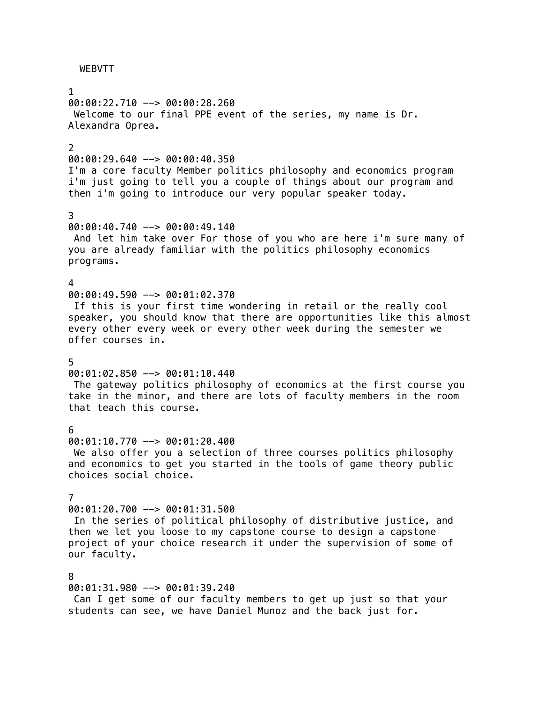WEBVTT

1 00:00:22.710 --> 00:00:28.260 Welcome to our final PPE event of the series, my name is Dr. Alexandra Oprea. 2  $00:00:29.640$  -->  $00:00:40.350$ I'm a core faculty Member politics philosophy and economics program i'm just going to tell you a couple of things about our program and then i'm going to introduce our very popular speaker today. 3 00:00:40.740 --> 00:00:49.140 And let him take over For those of you who are here i'm sure many of you are already familiar with the politics philosophy economics programs. 4 00:00:49.590 --> 00:01:02.370 If this is your first time wondering in retail or the really cool speaker, you should know that there are opportunities like this almost every other every week or every other week during the semester we offer courses in. 5 00:01:02.850 --> 00:01:10.440 The gateway politics philosophy of economics at the first course you take in the minor, and there are lots of faculty members in the room that teach this course. 6 00:01:10.770 --> 00:01:20.400 We also offer you a selection of three courses politics philosophy and economics to get you started in the tools of game theory public choices social choice. 7 00:01:20.700 --> 00:01:31.500 In the series of political philosophy of distributive justice, and then we let you loose to my capstone course to design a capstone project of your choice research it under the supervision of some of our faculty. 8 00:01:31.980 --> 00:01:39.240 Can I get some of our faculty members to get up just so that your students can see, we have Daniel Munoz and the back just for.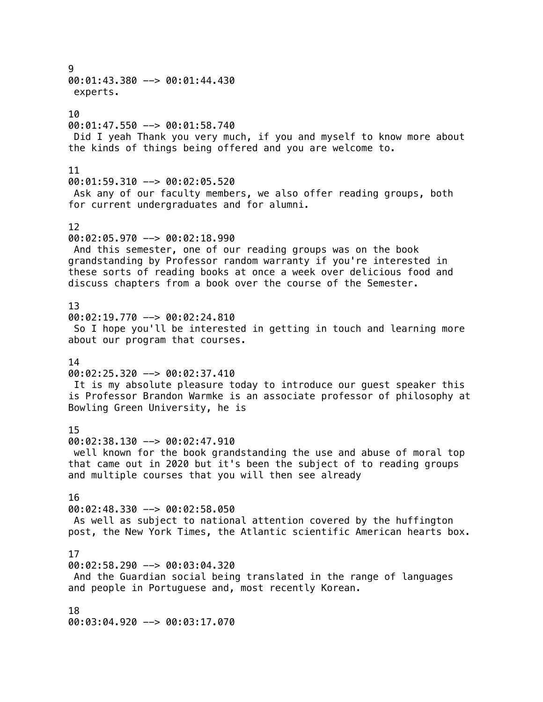| 9<br>$00:01:43.380$ --> $00:01:44.430$<br>experts.                                                                                                                                                                                                                                                                    |
|-----------------------------------------------------------------------------------------------------------------------------------------------------------------------------------------------------------------------------------------------------------------------------------------------------------------------|
| 10<br>$00:01:47.550$ --> $00:01:58.740$<br>Did I yeah Thank you very much, if you and myself to know more about<br>the kinds of things being offered and you are welcome to.                                                                                                                                          |
| 11<br>$00:01:59.310$ --> $00:02:05.520$<br>Ask any of our faculty members, we also offer reading groups, both<br>for current undergraduates and for alumni.                                                                                                                                                           |
| 12<br>$00:02:05.970$ --> $00:02:18.990$<br>And this semester, one of our reading groups was on the book<br>grandstanding by Professor random warranty if you're interested in<br>these sorts of reading books at once a week over delicious food and<br>discuss chapters from a book over the course of the Semester. |
| 13<br>$00:02:19.770$ --> $00:02:24.810$<br>So I hope you'll be interested in getting in touch and learning more<br>about our program that courses.                                                                                                                                                                    |
| 14<br>$00:02:25.320$ --> $00:02:37.410$<br>It is my absolute pleasure today to introduce our guest speaker this<br>is Professor Brandon Warmke is an associate professor of philosophy at<br>Bowling Green University, he is                                                                                          |
| 15<br>$00:02:38.130$ --> $00:02:47.910$<br>well known for the book grandstanding the use and abuse of moral top<br>that came out in 2020 but it's been the subject of to reading groups<br>and multiple courses that you will then see already                                                                        |
| 16<br>$00:02:48.330$ --> $00:02:58.050$<br>As well as subject to national attention covered by the huffington<br>post, the New York Times, the Atlantic scientific American hearts box.                                                                                                                               |
| 17<br>$00:02:58.290$ --> $00:03:04.320$<br>And the Guardian social being translated in the range of languages<br>and people in Portuguese and, most recently Korean.                                                                                                                                                  |
| 18<br>$00:03:04.920$ --> $00:03:17.070$                                                                                                                                                                                                                                                                               |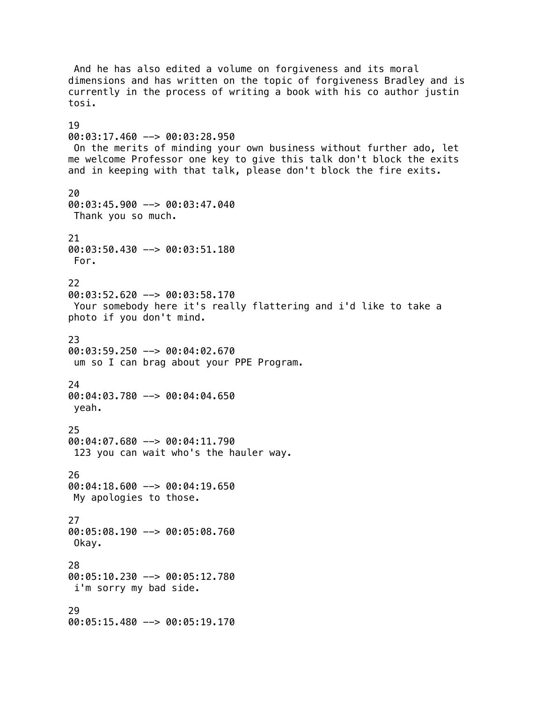And he has also edited a volume on forgiveness and its moral dimensions and has written on the topic of forgiveness Bradley and is currently in the process of writing a book with his co author justin tosi. 19 00:03:17.460 --> 00:03:28.950 On the merits of minding your own business without further ado, let me welcome Professor one key to give this talk don't block the exits and in keeping with that talk, please don't block the fire exits. 20 00:03:45.900 --> 00:03:47.040 Thank you so much. 21 00:03:50.430 --> 00:03:51.180 For. 22  $00:03:52.620$  -->  $00:03:58.170$  Your somebody here it's really flattering and i'd like to take a photo if you don't mind. 23 00:03:59.250 --> 00:04:02.670 um so I can brag about your PPE Program.  $24$ 00:04:03.780 --> 00:04:04.650 yeah. 25 00:04:07.680 --> 00:04:11.790 123 you can wait who's the hauler way. 26 00:04:18.600 --> 00:04:19.650 My apologies to those. 27 00:05:08.190 --> 00:05:08.760 Okay. 28 00:05:10.230 --> 00:05:12.780 i'm sorry my bad side. 29 00:05:15.480 --> 00:05:19.170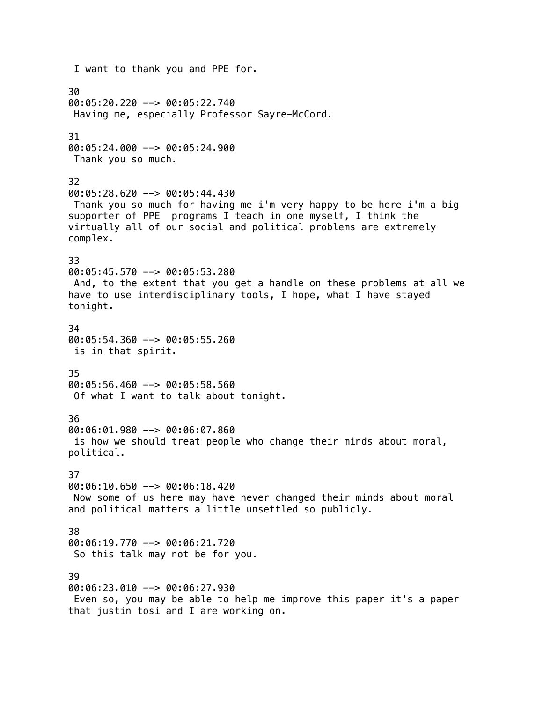I want to thank you and PPE for. 30 00:05:20.220 --> 00:05:22.740 Having me, especially Professor Sayre-McCord. 31 00:05:24.000 --> 00:05:24.900 Thank you so much. 32 00:05:28.620 --> 00:05:44.430 Thank you so much for having me i'm very happy to be here i'm a big supporter of PPE programs I teach in one myself, I think the virtually all of our social and political problems are extremely complex. 33 00:05:45.570 --> 00:05:53.280 And, to the extent that you get a handle on these problems at all we have to use interdisciplinary tools, I hope, what I have stayed tonight. 34 00:05:54.360 --> 00:05:55.260 is in that spirit. 35 00:05:56.460 --> 00:05:58.560 Of what I want to talk about tonight. 36 00:06:01.980 --> 00:06:07.860 is how we should treat people who change their minds about moral, political. 37 00:06:10.650 --> 00:06:18.420 Now some of us here may have never changed their minds about moral and political matters a little unsettled so publicly. 38 00:06:19.770 --> 00:06:21.720 So this talk may not be for you. 39 00:06:23.010 --> 00:06:27.930 Even so, you may be able to help me improve this paper it's a paper that justin tosi and I are working on.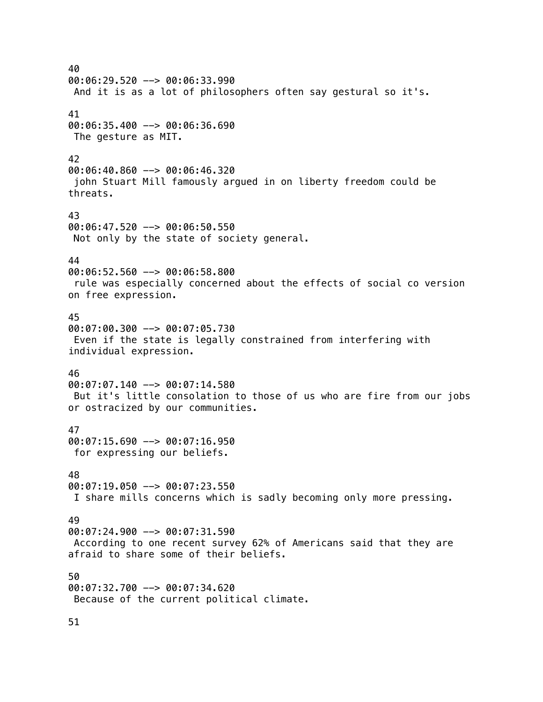40 00:06:29.520 --> 00:06:33.990 And it is as a lot of philosophers often say gestural so it's. 41 00:06:35.400 --> 00:06:36.690 The gesture as MIT. 42 00:06:40.860 --> 00:06:46.320 john Stuart Mill famously argued in on liberty freedom could be threats. 43 00:06:47.520 --> 00:06:50.550 Not only by the state of society general. 44 00:06:52.560 --> 00:06:58.800 rule was especially concerned about the effects of social co version on free expression. 45 00:07:00.300 --> 00:07:05.730 Even if the state is legally constrained from interfering with individual expression. 46 00:07:07.140 --> 00:07:14.580 But it's little consolation to those of us who are fire from our jobs or ostracized by our communities. 47 00:07:15.690 --> 00:07:16.950 for expressing our beliefs. 48 00:07:19.050 --> 00:07:23.550 I share mills concerns which is sadly becoming only more pressing. 49 00:07:24.900 --> 00:07:31.590 According to one recent survey 62% of Americans said that they are afraid to share some of their beliefs. 50 00:07:32.700 --> 00:07:34.620 Because of the current political climate.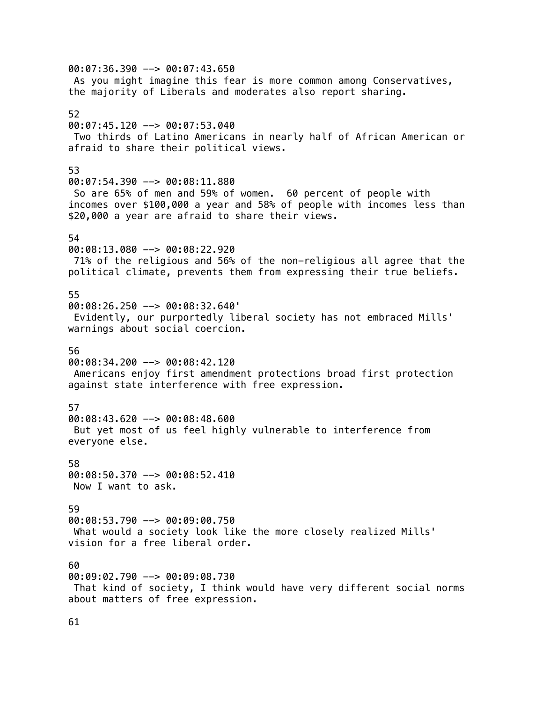00:07:36.390 --> 00:07:43.650 As you might imagine this fear is more common among Conservatives, the majority of Liberals and moderates also report sharing. 52 00:07:45.120 --> 00:07:53.040 Two thirds of Latino Americans in nearly half of African American or afraid to share their political views. 53 00:07:54.390 --> 00:08:11.880 So are 65% of men and 59% of women. 60 percent of people with incomes over \$100,000 a year and 58% of people with incomes less than \$20,000 a year are afraid to share their views. 54 00:08:13.080 --> 00:08:22.920 71% of the religious and 56% of the non-religious all agree that the political climate, prevents them from expressing their true beliefs. 55 00:08:26.250 --> 00:08:32.640' Evidently, our purportedly liberal society has not embraced Mills' warnings about social coercion. 56 00:08:34.200 --> 00:08:42.120 Americans enjoy first amendment protections broad first protection against state interference with free expression. 57 00:08:43.620 --> 00:08:48.600 But yet most of us feel highly vulnerable to interference from everyone else. 58 00:08:50.370 --> 00:08:52.410 Now I want to ask. 59 00:08:53.790 --> 00:09:00.750 What would a society look like the more closely realized Mills' vision for a free liberal order. 60 00:09:02.790 --> 00:09:08.730 That kind of society, I think would have very different social norms about matters of free expression.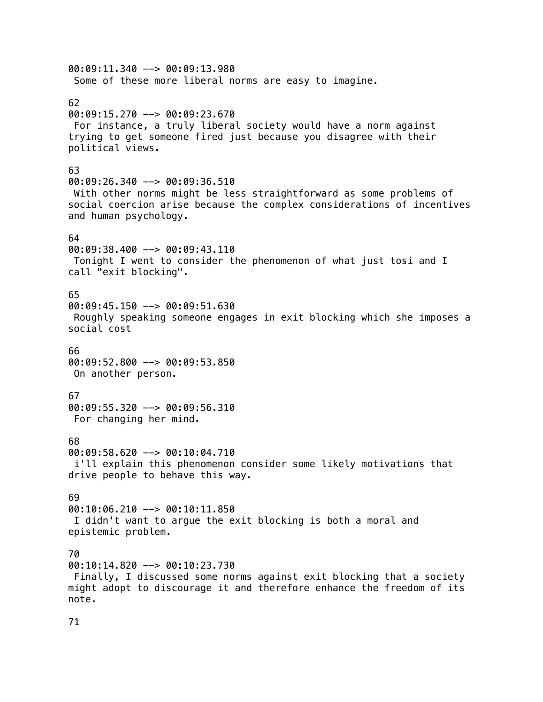00:09:11.340 --> 00:09:13.980 Some of these more liberal norms are easy to imagine. 62 00:09:15.270 --> 00:09:23.670 For instance, a truly liberal society would have a norm against trying to get someone fired just because you disagree with their political views. 63 00:09:26.340 --> 00:09:36.510 With other norms might be less straightforward as some problems of social coercion arise because the complex considerations of incentives and human psychology. 64 00:09:38.400 --> 00:09:43.110 Tonight I went to consider the phenomenon of what just tosi and I call "exit blocking". 65 00:09:45.150 --> 00:09:51.630 Roughly speaking someone engages in exit blocking which she imposes a social cost 66 00:09:52.800 --> 00:09:53.850 On another person. 67 00:09:55.320 --> 00:09:56.310 For changing her mind. 68 00:09:58.620 --> 00:10:04.710 i'll explain this phenomenon consider some likely motivations that drive people to behave this way. 69 00:10:06.210 --> 00:10:11.850 I didn't want to argue the exit blocking is both a moral and epistemic problem. 70 00:10:14.820 --> 00:10:23.730 Finally, I discussed some norms against exit blocking that a society might adopt to discourage it and therefore enhance the freedom of its note.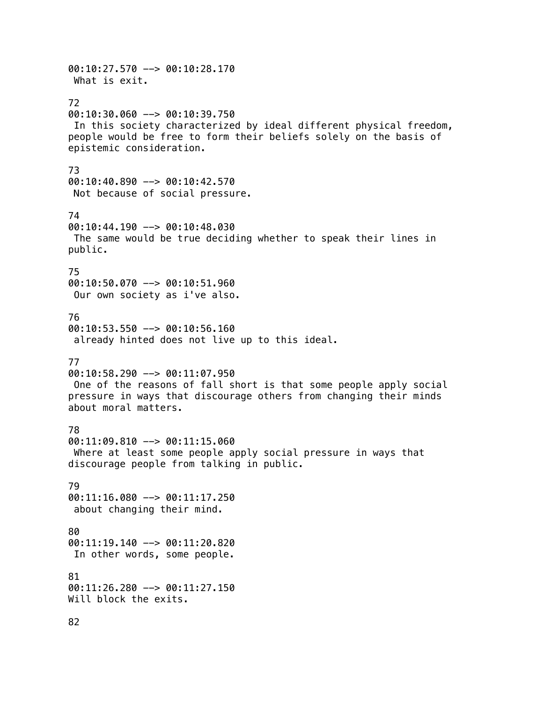00:10:27.570 --> 00:10:28.170 What is exit. 72 00:10:30.060 --> 00:10:39.750 In this society characterized by ideal different physical freedom, people would be free to form their beliefs solely on the basis of epistemic consideration. 73 00:10:40.890 --> 00:10:42.570 Not because of social pressure. 74 00:10:44.190 --> 00:10:48.030 The same would be true deciding whether to speak their lines in public. 75 00:10:50.070 --> 00:10:51.960 Our own society as i've also. 76 00:10:53.550 --> 00:10:56.160 already hinted does not live up to this ideal. 77 00:10:58.290 --> 00:11:07.950 One of the reasons of fall short is that some people apply social pressure in ways that discourage others from changing their minds about moral matters. 78 00:11:09.810 --> 00:11:15.060 Where at least some people apply social pressure in ways that discourage people from talking in public. 79 00:11:16.080 --> 00:11:17.250 about changing their mind. 80 00:11:19.140 --> 00:11:20.820 In other words, some people. 81 00:11:26.280 --> 00:11:27.150 Will block the exits.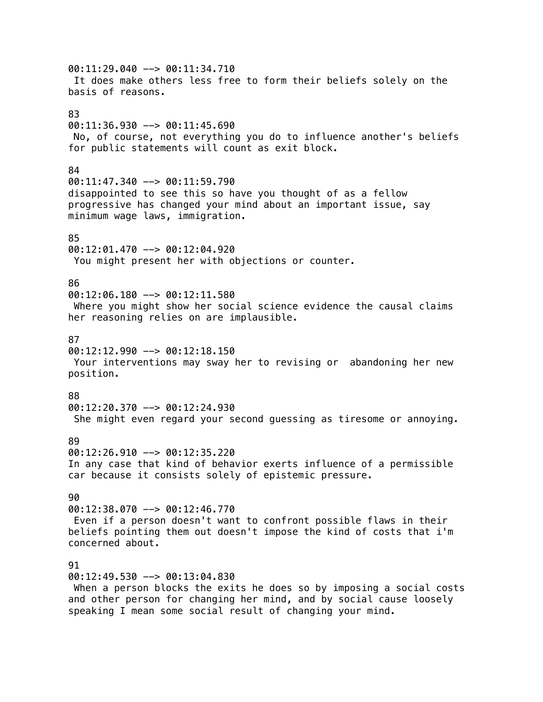00:11:29.040 --> 00:11:34.710 It does make others less free to form their beliefs solely on the basis of reasons. 83 00:11:36.930 --> 00:11:45.690 No, of course, not everything you do to influence another's beliefs for public statements will count as exit block. 84  $00:11:47.340$  -->  $00:11:59.790$ disappointed to see this so have you thought of as a fellow progressive has changed your mind about an important issue, say minimum wage laws, immigration. 85 00:12:01.470 --> 00:12:04.920 You might present her with objections or counter. 86  $00:12:06.180$  -->  $00:12:11.580$  Where you might show her social science evidence the causal claims her reasoning relies on are implausible. 87  $00:12:12.990$  -->  $00:12:18.150$  Your interventions may sway her to revising or abandoning her new position. 88 00:12:20.370 --> 00:12:24.930 She might even regard your second guessing as tiresome or annoying. 89  $00:12:26.910$  -->  $00:12:35.220$ In any case that kind of behavior exerts influence of a permissible car because it consists solely of epistemic pressure. 90  $00:12:38.070$  -->  $00:12:46.770$  Even if a person doesn't want to confront possible flaws in their beliefs pointing them out doesn't impose the kind of costs that i'm concerned about. 91 00:12:49.530 --> 00:13:04.830 When a person blocks the exits he does so by imposing a social costs and other person for changing her mind, and by social cause loosely

speaking I mean some social result of changing your mind.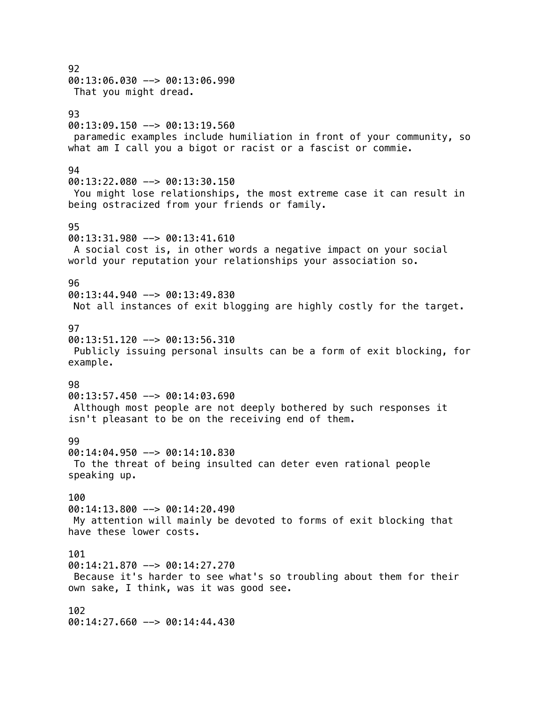| 92<br>$00:13:06.030$ --> $00:13:06.990$<br>That you might dread.                                                                                                                 |
|----------------------------------------------------------------------------------------------------------------------------------------------------------------------------------|
| 93<br>$00:13:09.150$ --> $00:13:19.560$<br>paramedic examples include humiliation in front of your community, so<br>what am I call you a bigot or racist or a fascist or commie. |
| 94<br>$00:13:22.080$ --> $00:13:30.150$<br>You might lose relationships, the most extreme case it can result in<br>being ostracized from your friends or family.                 |
| 95<br>$00:13:31.980$ --> $00:13:41.610$<br>A social cost is, in other words a negative impact on your social<br>world your reputation your relationships your association so.    |
| 96<br>$00:13:44.940$ --> $00:13:49.830$<br>Not all instances of exit blogging are highly costly for the target.                                                                  |
| 97<br>$00:13:51.120$ --> $00:13:56.310$<br>Publicly issuing personal insults can be a form of exit blocking, for<br>example.                                                     |
| 98<br>$00:13:57.450$ --> $00:14:03.690$<br>Although most people are not deeply bothered by such responses it<br>isn't pleasant to be on the receiving end of them.               |
| 99<br>$00:14:04.950$ --> $00:14:10.830$<br>To the threat of being insulted can deter even rational people<br>speaking up.                                                        |
| 100<br>$00:14:13.800$ --> $00:14:20.490$<br>My attention will mainly be devoted to forms of exit blocking that<br>have these lower costs.                                        |
| 101<br>$00:14:21.870$ --> $00:14:27.270$<br>Because it's harder to see what's so troubling about them for their<br>own sake, I think, was it was good see.                       |
| 102<br>$00:14:27.660$ --> $00:14:44.430$                                                                                                                                         |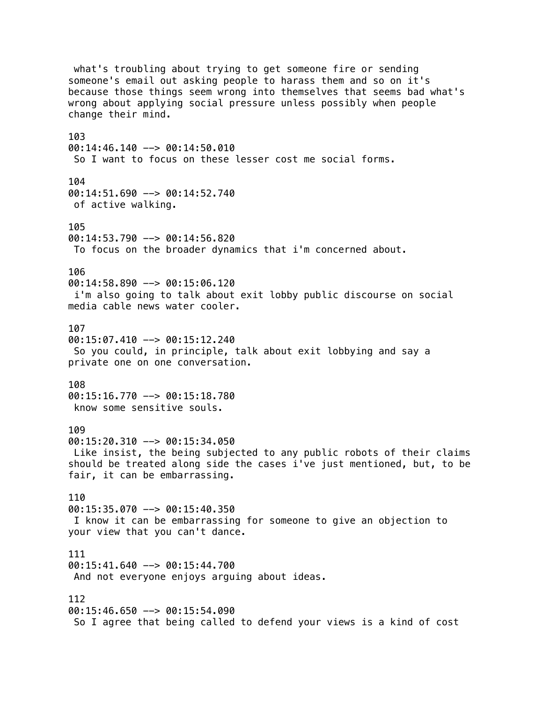what's troubling about trying to get someone fire or sending someone's email out asking people to harass them and so on it's because those things seem wrong into themselves that seems bad what's wrong about applying social pressure unless possibly when people change their mind. 103  $00:14:46.140$  -->  $00:14:50.010$  So I want to focus on these lesser cost me social forms. 104 00:14:51.690 --> 00:14:52.740 of active walking. 105 00:14:53.790 --> 00:14:56.820 To focus on the broader dynamics that i'm concerned about. 106  $00:14:58.890$  -->  $00:15:06.120$  i'm also going to talk about exit lobby public discourse on social media cable news water cooler. 107 00:15:07.410 --> 00:15:12.240 So you could, in principle, talk about exit lobbying and say a private one on one conversation. 108 00:15:16.770 --> 00:15:18.780 know some sensitive souls. 109 00:15:20.310 --> 00:15:34.050 Like insist, the being subjected to any public robots of their claims should be treated along side the cases i've just mentioned, but, to be fair, it can be embarrassing. 110 00:15:35.070 --> 00:15:40.350 I know it can be embarrassing for someone to give an objection to your view that you can't dance. 111 00:15:41.640 --> 00:15:44.700 And not everyone enjoys arguing about ideas. 112 00:15:46.650 --> 00:15:54.090 So I agree that being called to defend your views is a kind of cost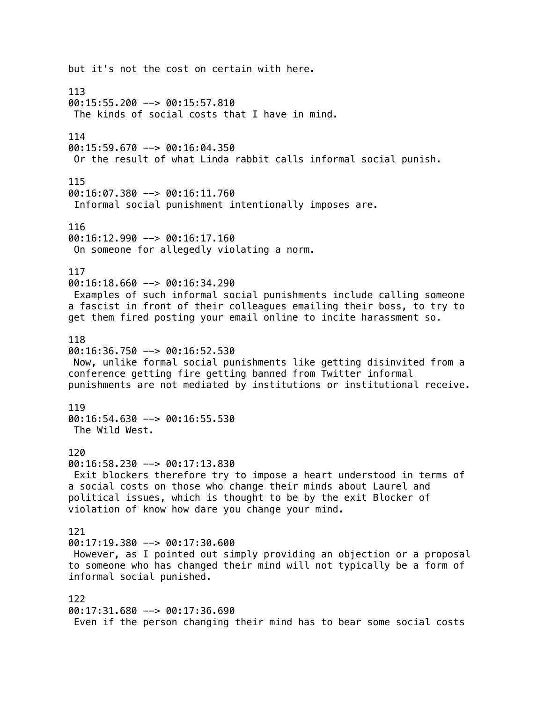but it's not the cost on certain with here. 113 00:15:55.200 --> 00:15:57.810 The kinds of social costs that I have in mind. 114  $00:15:59.670$  -->  $00:16:04.350$  Or the result of what Linda rabbit calls informal social punish. 115 00:16:07.380 --> 00:16:11.760 Informal social punishment intentionally imposes are. 116 00:16:12.990 --> 00:16:17.160 On someone for allegedly violating a norm. 117  $00:16:18.660$  -->  $00:16:34.290$  Examples of such informal social punishments include calling someone a fascist in front of their colleagues emailing their boss, to try to get them fired posting your email online to incite harassment so. 118 00:16:36.750 --> 00:16:52.530 Now, unlike formal social punishments like getting disinvited from a conference getting fire getting banned from Twitter informal punishments are not mediated by institutions or institutional receive. 119 00:16:54.630 --> 00:16:55.530 The Wild West. 120 00:16:58.230 --> 00:17:13.830 Exit blockers therefore try to impose a heart understood in terms of a social costs on those who change their minds about Laurel and political issues, which is thought to be by the exit Blocker of violation of know how dare you change your mind. 121  $00:17:19.380$  -->  $00:17:30.600$  However, as I pointed out simply providing an objection or a proposal to someone who has changed their mind will not typically be a form of informal social punished. 122 00:17:31.680 --> 00:17:36.690 Even if the person changing their mind has to bear some social costs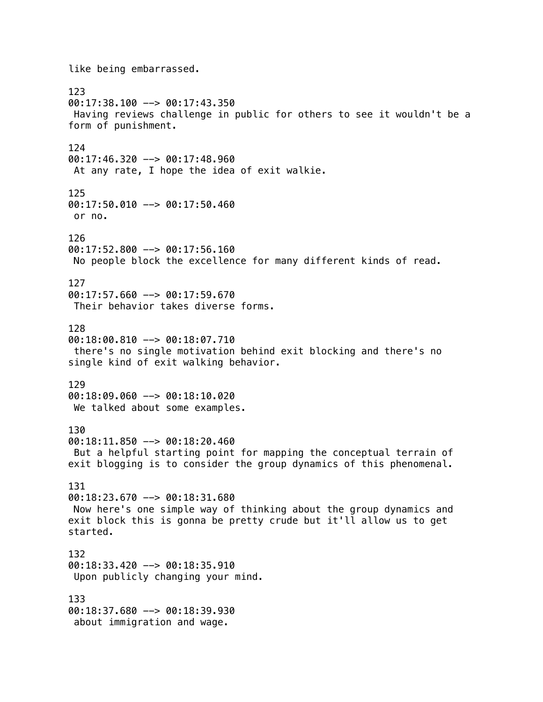like being embarrassed. 123 00:17:38.100 --> 00:17:43.350 Having reviews challenge in public for others to see it wouldn't be a form of punishment. 124 00:17:46.320 --> 00:17:48.960 At any rate, I hope the idea of exit walkie. 125 00:17:50.010 --> 00:17:50.460 or no. 126 00:17:52.800 --> 00:17:56.160 No people block the excellence for many different kinds of read. 127  $00:17:57.660$  -->  $00:17:59.670$  Their behavior takes diverse forms. 128  $00:18:00.810$  -->  $00:18:07.710$  there's no single motivation behind exit blocking and there's no single kind of exit walking behavior. 129 00:18:09.060 --> 00:18:10.020 We talked about some examples. 130 00:18:11.850 --> 00:18:20.460 But a helpful starting point for mapping the conceptual terrain of exit blogging is to consider the group dynamics of this phenomenal. 131 00:18:23.670 --> 00:18:31.680 Now here's one simple way of thinking about the group dynamics and exit block this is gonna be pretty crude but it'll allow us to get started. 132 00:18:33.420 --> 00:18:35.910 Upon publicly changing your mind. 133 00:18:37.680 --> 00:18:39.930 about immigration and wage.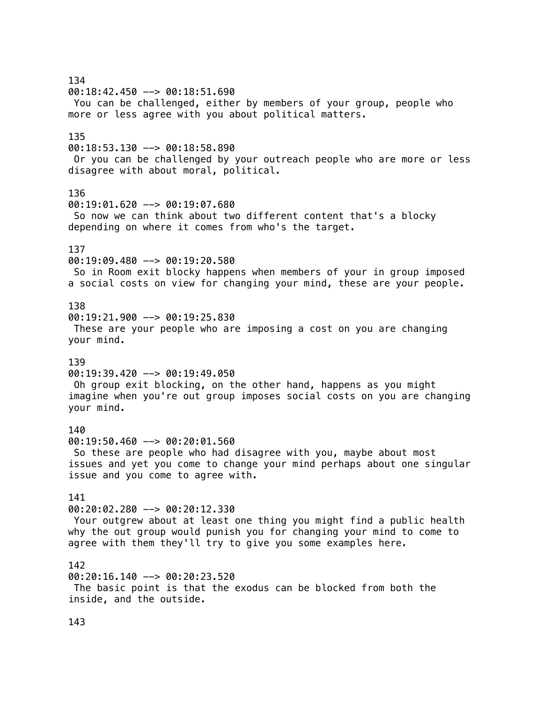## 134 00:18:42.450 --> 00:18:51.690 You can be challenged, either by members of your group, people who more or less agree with you about political matters. 135 00:18:53.130 --> 00:18:58.890 Or you can be challenged by your outreach people who are more or less disagree with about moral, political. 136 00:19:01.620 --> 00:19:07.680 So now we can think about two different content that's a blocky depending on where it comes from who's the target. 137 00:19:09.480 --> 00:19:20.580 So in Room exit blocky happens when members of your in group imposed a social costs on view for changing your mind, these are your people. 138 00:19:21.900 --> 00:19:25.830 These are your people who are imposing a cost on you are changing your mind. 139 00:19:39.420 --> 00:19:49.050 Oh group exit blocking, on the other hand, happens as you might imagine when you're out group imposes social costs on you are changing your mind. 140 00:19:50.460 --> 00:20:01.560 So these are people who had disagree with you, maybe about most issues and yet you come to change your mind perhaps about one singular issue and you come to agree with. 141 00:20:02.280 --> 00:20:12.330 Your outgrew about at least one thing you might find a public health why the out group would punish you for changing your mind to come to agree with them they'll try to give you some examples here. 142  $00:20:16.140$  -->  $00:20:23.520$  The basic point is that the exodus can be blocked from both the inside, and the outside.

143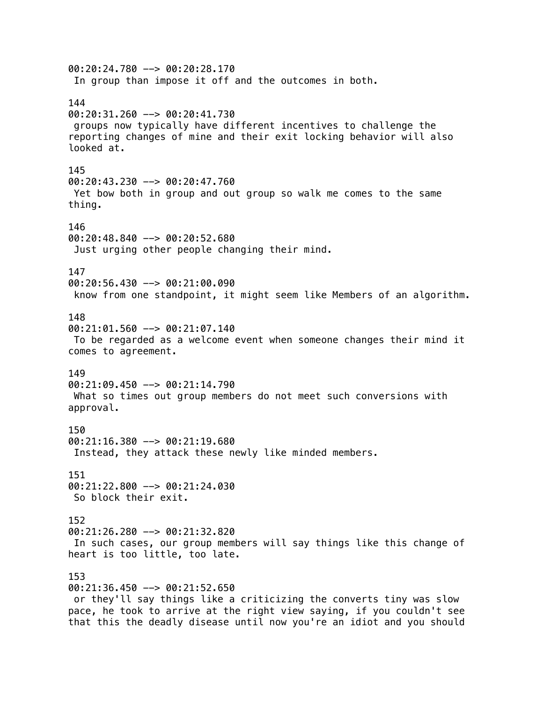00:20:24.780 --> 00:20:28.170 In group than impose it off and the outcomes in both. 144 00:20:31.260 --> 00:20:41.730 groups now typically have different incentives to challenge the reporting changes of mine and their exit locking behavior will also looked at. 145 00:20:43.230 --> 00:20:47.760 Yet bow both in group and out group so walk me comes to the same thing. 146 00:20:48.840 --> 00:20:52.680 Just urging other people changing their mind. 147 00:20:56.430 --> 00:21:00.090 know from one standpoint, it might seem like Members of an algorithm. 148 00:21:01.560 --> 00:21:07.140 To be regarded as a welcome event when someone changes their mind it comes to agreement. 149 00:21:09.450 --> 00:21:14.790 What so times out group members do not meet such conversions with approval. 150 00:21:16.380 --> 00:21:19.680 Instead, they attack these newly like minded members. 151 00:21:22.800 --> 00:21:24.030 So block their exit. 152 00:21:26.280 --> 00:21:32.820 In such cases, our group members will say things like this change of heart is too little, too late. 153 00:21:36.450 --> 00:21:52.650 or they'll say things like a criticizing the converts tiny was slow pace, he took to arrive at the right view saying, if you couldn't see that this the deadly disease until now you're an idiot and you should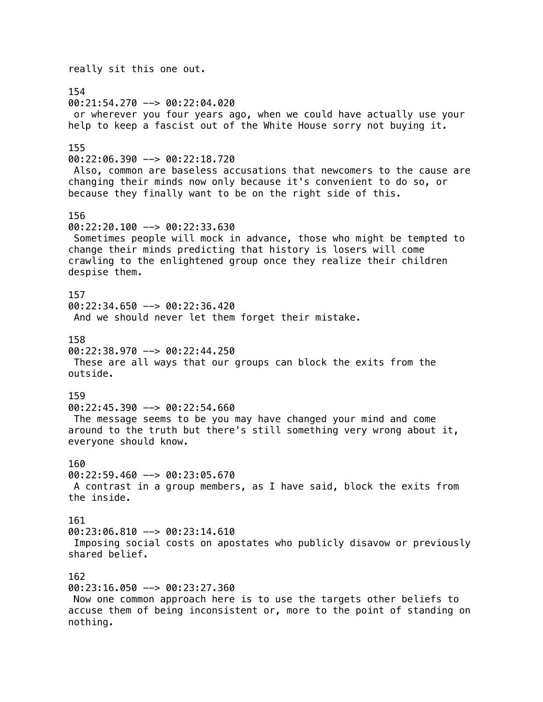really sit this one out. 154 00:21:54.270 --> 00:22:04.020 or wherever you four years ago, when we could have actually use your help to keep a fascist out of the White House sorry not buying it. 155 00:22:06.390 --> 00:22:18.720 Also, common are baseless accusations that newcomers to the cause are changing their minds now only because it's convenient to do so, or because they finally want to be on the right side of this. 156  $00:22:20.100$  -->  $00:22:33.630$  Sometimes people will mock in advance, those who might be tempted to change their minds predicting that history is losers will come crawling to the enlightened group once they realize their children despise them. 157  $00:22:34.650$  -->  $00:22:36.420$  And we should never let them forget their mistake. 158 00:22:38.970 --> 00:22:44.250 These are all ways that our groups can block the exits from the outside. 159 00:22:45.390 --> 00:22:54.660 The message seems to be you may have changed your mind and come around to the truth but there's still something very wrong about it, everyone should know. 160  $00:22:59.460$  -->  $00:23:05.670$  A contrast in a group members, as I have said, block the exits from the inside. 161  $00:23:06.810$  -->  $00:23:14.610$  Imposing social costs on apostates who publicly disavow or previously shared belief. 162 00:23:16.050 --> 00:23:27.360 Now one common approach here is to use the targets other beliefs to accuse them of being inconsistent or, more to the point of standing on nothing.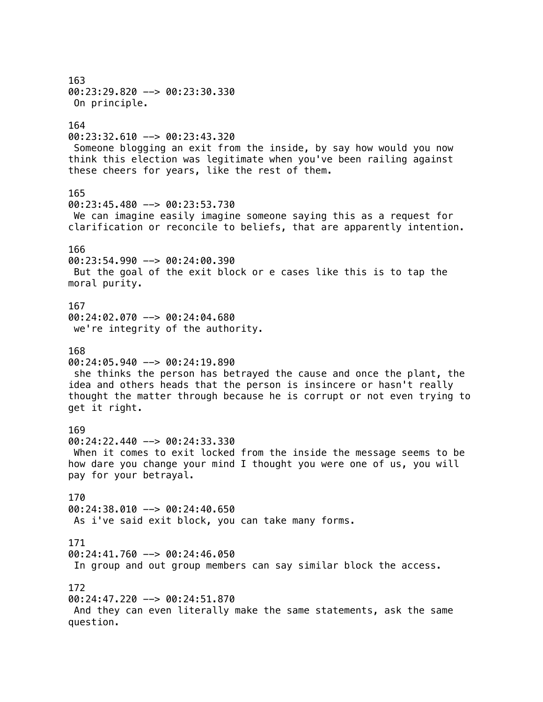163 00:23:29.820 --> 00:23:30.330 On principle. 164 00:23:32.610 --> 00:23:43.320 Someone blogging an exit from the inside, by say how would you now think this election was legitimate when you've been railing against these cheers for years, like the rest of them. 165 00:23:45.480 --> 00:23:53.730 We can imagine easily imagine someone saying this as a request for clarification or reconcile to beliefs, that are apparently intention. 166 00:23:54.990 --> 00:24:00.390 But the goal of the exit block or e cases like this is to tap the moral purity. 167 00:24:02.070 --> 00:24:04.680 we're integrity of the authority. 168 00:24:05.940 --> 00:24:19.890 she thinks the person has betrayed the cause and once the plant, the idea and others heads that the person is insincere or hasn't really thought the matter through because he is corrupt or not even trying to get it right. 169 00:24:22.440 --> 00:24:33.330 When it comes to exit locked from the inside the message seems to be how dare you change your mind I thought you were one of us, you will pay for your betrayal. 170 00:24:38.010 --> 00:24:40.650 As i've said exit block, you can take many forms. 171 00:24:41.760 --> 00:24:46.050 In group and out group members can say similar block the access. 172 00:24:47.220 --> 00:24:51.870 And they can even literally make the same statements, ask the same question.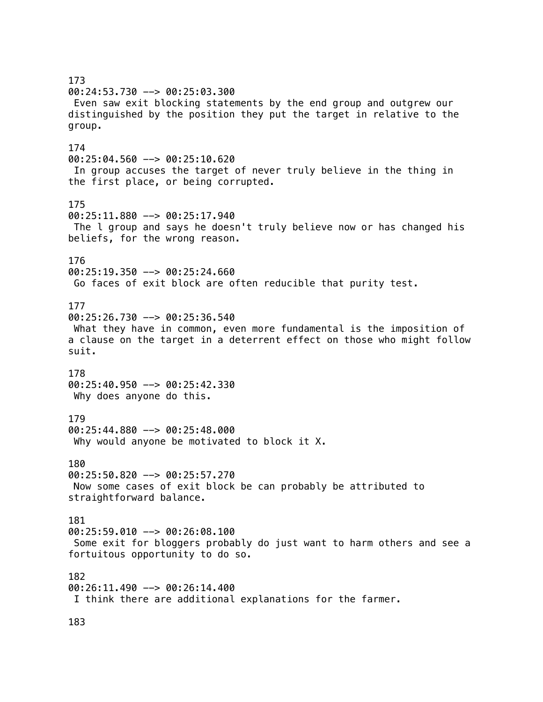173 00:24:53.730 --> 00:25:03.300 Even saw exit blocking statements by the end group and outgrew our distinguished by the position they put the target in relative to the group. 174 00:25:04.560 --> 00:25:10.620 In group accuses the target of never truly believe in the thing in the first place, or being corrupted. 175 00:25:11.880 --> 00:25:17.940 The l group and says he doesn't truly believe now or has changed his beliefs, for the wrong reason. 176 00:25:19.350 --> 00:25:24.660 Go faces of exit block are often reducible that purity test. 177  $00:25:26.730$  -->  $00:25:36.540$  What they have in common, even more fundamental is the imposition of a clause on the target in a deterrent effect on those who might follow suit. 178 00:25:40.950 --> 00:25:42.330 Why does anyone do this. 179 00:25:44.880 --> 00:25:48.000 Why would anyone be motivated to block it X. 180  $00:25:50.820$  -->  $00:25:57.270$  Now some cases of exit block be can probably be attributed to straightforward balance. 181 00:25:59.010 --> 00:26:08.100 Some exit for bloggers probably do just want to harm others and see a fortuitous opportunity to do so. 182 00:26:11.490 --> 00:26:14.400 I think there are additional explanations for the farmer.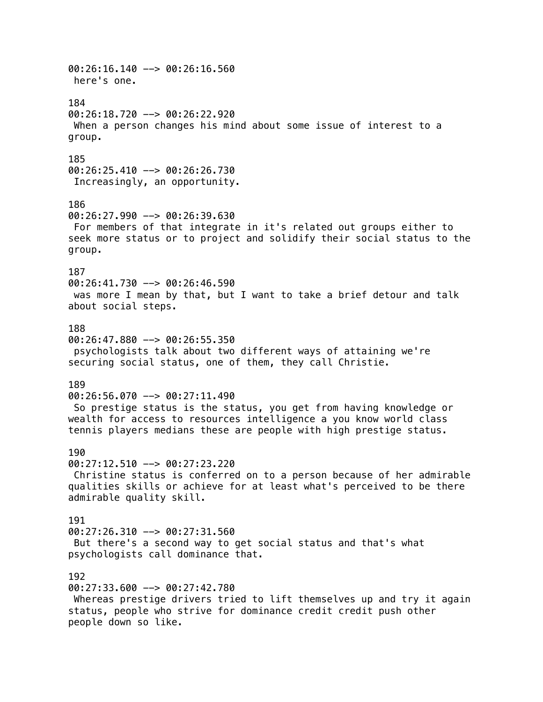00:26:16.140 --> 00:26:16.560 here's one. 184  $00:26:18.720$  -->  $00:26:22.920$  When a person changes his mind about some issue of interest to a group. 185 00:26:25.410 --> 00:26:26.730 Increasingly, an opportunity. 186 00:26:27.990 --> 00:26:39.630 For members of that integrate in it's related out groups either to seek more status or to project and solidify their social status to the group. 187  $00:26:41.730 \rightarrow 00:26:46.590$  was more I mean by that, but I want to take a brief detour and talk about social steps. 188 00:26:47.880 --> 00:26:55.350 psychologists talk about two different ways of attaining we're securing social status, one of them, they call Christie. 189  $00:26:56.070$  -->  $00:27:11.490$  So prestige status is the status, you get from having knowledge or wealth for access to resources intelligence a you know world class tennis players medians these are people with high prestige status. 190 00:27:12.510 --> 00:27:23.220 Christine status is conferred on to a person because of her admirable qualities skills or achieve for at least what's perceived to be there admirable quality skill. 191 00:27:26.310 --> 00:27:31.560 But there's a second way to get social status and that's what psychologists call dominance that. 192 00:27:33.600 --> 00:27:42.780 Whereas prestige drivers tried to lift themselves up and try it again status, people who strive for dominance credit credit push other people down so like.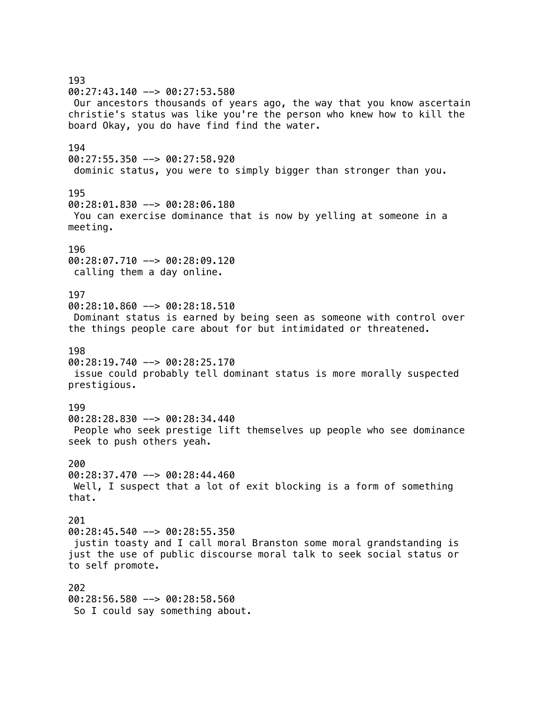193 00:27:43.140 --> 00:27:53.580 Our ancestors thousands of years ago, the way that you know ascertain christie's status was like you're the person who knew how to kill the board Okay, you do have find find the water. 194 00:27:55.350 --> 00:27:58.920 dominic status, you were to simply bigger than stronger than you. 195 00:28:01.830 --> 00:28:06.180 You can exercise dominance that is now by yelling at someone in a meeting. 196 00:28:07.710 --> 00:28:09.120 calling them a day online. 197 00:28:10.860 --> 00:28:18.510 Dominant status is earned by being seen as someone with control over the things people care about for but intimidated or threatened. 198  $00:28:19.740 \rightarrow 00:28:25.170$  issue could probably tell dominant status is more morally suspected prestigious. 199 00:28:28.830 --> 00:28:34.440 People who seek prestige lift themselves up people who see dominance seek to push others yeah. 200  $00:28:37.470$  -->  $00:28:44.460$  Well, I suspect that a lot of exit blocking is a form of something that. 201  $00:28:45.540$  -->  $00:28:55.350$  justin toasty and I call moral Branston some moral grandstanding is just the use of public discourse moral talk to seek social status or to self promote. 202 00:28:56.580 --> 00:28:58.560 So I could say something about.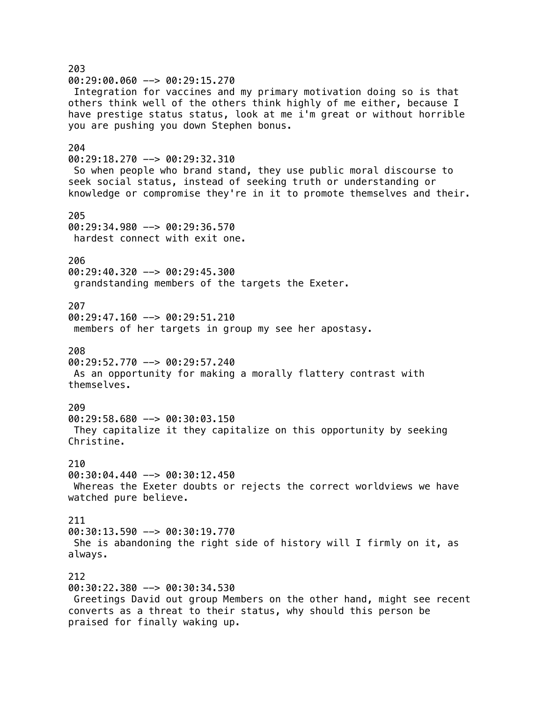203  $00:29:00.060$  -->  $00:29:15.270$  Integration for vaccines and my primary motivation doing so is that others think well of the others think highly of me either, because I have prestige status status, look at me i'm great or without horrible you are pushing you down Stephen bonus. 204 00:29:18.270 --> 00:29:32.310 So when people who brand stand, they use public moral discourse to seek social status, instead of seeking truth or understanding or knowledge or compromise they're in it to promote themselves and their. 205 00:29:34.980 --> 00:29:36.570 hardest connect with exit one. 206 00:29:40.320 --> 00:29:45.300 grandstanding members of the targets the Exeter. 207 00:29:47.160 --> 00:29:51.210 members of her targets in group my see her apostasy. 208 00:29:52.770 --> 00:29:57.240 As an opportunity for making a morally flattery contrast with themselves. 209 00:29:58.680 --> 00:30:03.150 They capitalize it they capitalize on this opportunity by seeking Christine. 210 00:30:04.440 --> 00:30:12.450 Whereas the Exeter doubts or rejects the correct worldviews we have watched pure believe. 211  $00:30:13.590$  -->  $00:30:19.770$  She is abandoning the right side of history will I firmly on it, as always. 212 00:30:22.380 --> 00:30:34.530 Greetings David out group Members on the other hand, might see recent converts as a threat to their status, why should this person be praised for finally waking up.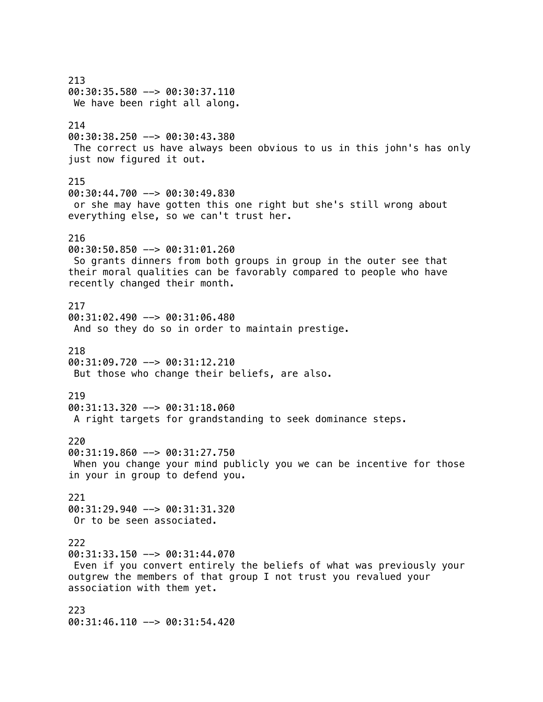213 00:30:35.580 --> 00:30:37.110 We have been right all along. 214 00:30:38.250 --> 00:30:43.380 The correct us have always been obvious to us in this john's has only just now figured it out. 215 00:30:44.700 --> 00:30:49.830 or she may have gotten this one right but she's still wrong about everything else, so we can't trust her. 216 00:30:50.850 --> 00:31:01.260 So grants dinners from both groups in group in the outer see that their moral qualities can be favorably compared to people who have recently changed their month. 217 00:31:02.490 --> 00:31:06.480 And so they do so in order to maintain prestige. 218 00:31:09.720 --> 00:31:12.210 But those who change their beliefs, are also. 219 00:31:13.320 --> 00:31:18.060 A right targets for grandstanding to seek dominance steps. 220 00:31:19.860 --> 00:31:27.750 When you change your mind publicly you we can be incentive for those in your in group to defend you. 221 00:31:29.940 --> 00:31:31.320 Or to be seen associated. 222 00:31:33.150 --> 00:31:44.070 Even if you convert entirely the beliefs of what was previously your outgrew the members of that group I not trust you revalued your association with them yet. 223 00:31:46.110 --> 00:31:54.420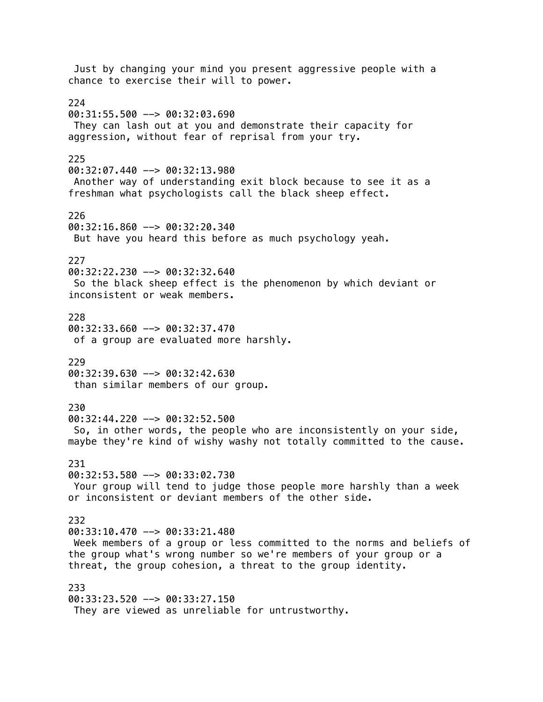Just by changing your mind you present aggressive people with a chance to exercise their will to power. 224 00:31:55.500 --> 00:32:03.690 They can lash out at you and demonstrate their capacity for aggression, without fear of reprisal from your try. 225 00:32:07.440 --> 00:32:13.980 Another way of understanding exit block because to see it as a freshman what psychologists call the black sheep effect. 226 00:32:16.860 --> 00:32:20.340 But have you heard this before as much psychology yeah. 227 00:32:22.230 --> 00:32:32.640 So the black sheep effect is the phenomenon by which deviant or inconsistent or weak members. 228  $00:32:33.660$  -->  $00:32:37.470$  of a group are evaluated more harshly. 229  $00:32:39.630$  -->  $00:32:42.630$  than similar members of our group. 230 00:32:44.220 --> 00:32:52.500 So, in other words, the people who are inconsistently on your side, maybe they're kind of wishy washy not totally committed to the cause. 231  $00:32:53.580$  -->  $00:33:02.730$  Your group will tend to judge those people more harshly than a week or inconsistent or deviant members of the other side. 232 00:33:10.470 --> 00:33:21.480 Week members of a group or less committed to the norms and beliefs of the group what's wrong number so we're members of your group or a threat, the group cohesion, a threat to the group identity. 233 00:33:23.520 --> 00:33:27.150 They are viewed as unreliable for untrustworthy.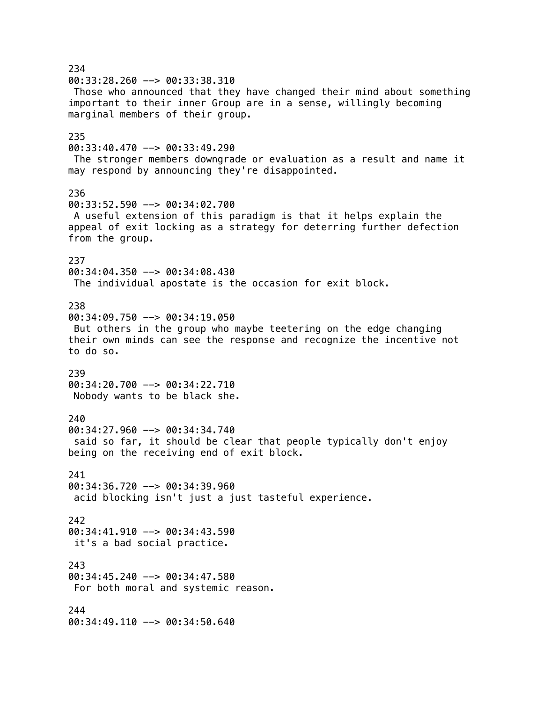234 00:33:28.260 --> 00:33:38.310 Those who announced that they have changed their mind about something important to their inner Group are in a sense, willingly becoming marginal members of their group. 235  $00:33:40.470$  -->  $00:33:49.290$  The stronger members downgrade or evaluation as a result and name it may respond by announcing they're disappointed. 236 00:33:52.590 --> 00:34:02.700 A useful extension of this paradigm is that it helps explain the appeal of exit locking as a strategy for deterring further defection from the group. 237 00:34:04.350 --> 00:34:08.430 The individual apostate is the occasion for exit block. 238 00:34:09.750 --> 00:34:19.050 But others in the group who maybe teetering on the edge changing their own minds can see the response and recognize the incentive not to do so. 239 00:34:20.700 --> 00:34:22.710 Nobody wants to be black she. 240 00:34:27.960 --> 00:34:34.740 said so far, it should be clear that people typically don't enjoy being on the receiving end of exit block. 241 00:34:36.720 --> 00:34:39.960 acid blocking isn't just a just tasteful experience. 242 00:34:41.910 --> 00:34:43.590 it's a bad social practice. 243 00:34:45.240 --> 00:34:47.580 For both moral and systemic reason. 244 00:34:49.110 --> 00:34:50.640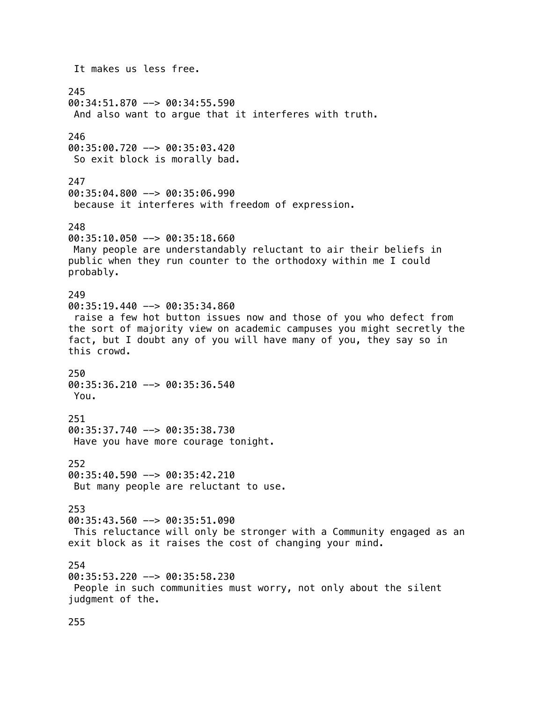It makes us less free. 245 00:34:51.870 --> 00:34:55.590 And also want to argue that it interferes with truth. 246 00:35:00.720 --> 00:35:03.420 So exit block is morally bad. 247 00:35:04.800 --> 00:35:06.990 because it interferes with freedom of expression. 248 00:35:10.050 --> 00:35:18.660 Many people are understandably reluctant to air their beliefs in public when they run counter to the orthodoxy within me I could probably. 249  $00:35:19.440$  -->  $00:35:34.860$  raise a few hot button issues now and those of you who defect from the sort of majority view on academic campuses you might secretly the fact, but I doubt any of you will have many of you, they say so in this crowd. 250 00:35:36.210 --> 00:35:36.540 You. 251 00:35:37.740 --> 00:35:38.730 Have you have more courage tonight. 252  $00:35:40.590$  -->  $00:35:42.210$  But many people are reluctant to use. 253 00:35:43.560 --> 00:35:51.090 This reluctance will only be stronger with a Community engaged as an exit block as it raises the cost of changing your mind. 254 00:35:53.220 --> 00:35:58.230 People in such communities must worry, not only about the silent judgment of the.

255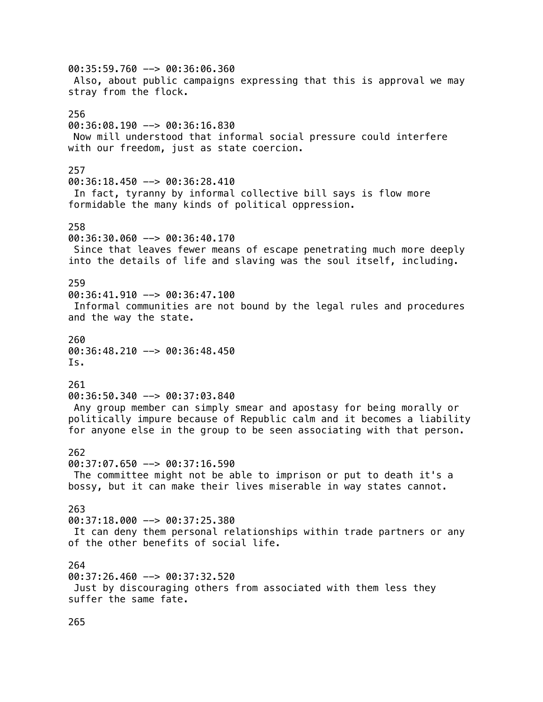00:35:59.760 --> 00:36:06.360 Also, about public campaigns expressing that this is approval we may stray from the flock. 256 00:36:08.190 --> 00:36:16.830 Now mill understood that informal social pressure could interfere with our freedom, just as state coercion. 257 00:36:18.450 --> 00:36:28.410 In fact, tyranny by informal collective bill says is flow more formidable the many kinds of political oppression. 258 00:36:30.060 --> 00:36:40.170 Since that leaves fewer means of escape penetrating much more deeply into the details of life and slaving was the soul itself, including. 259 00:36:41.910 --> 00:36:47.100 Informal communities are not bound by the legal rules and procedures and the way the state. 260  $00:36:48.210$  -->  $00:36:48.450$ Is. 261 00:36:50.340 --> 00:37:03.840 Any group member can simply smear and apostasy for being morally or politically impure because of Republic calm and it becomes a liability for anyone else in the group to be seen associating with that person. 262 00:37:07.650 --> 00:37:16.590 The committee might not be able to imprison or put to death it's a bossy, but it can make their lives miserable in way states cannot. 263 00:37:18.000 --> 00:37:25.380 It can deny them personal relationships within trade partners or any of the other benefits of social life. 264 00:37:26.460 --> 00:37:32.520 Just by discouraging others from associated with them less they suffer the same fate.

265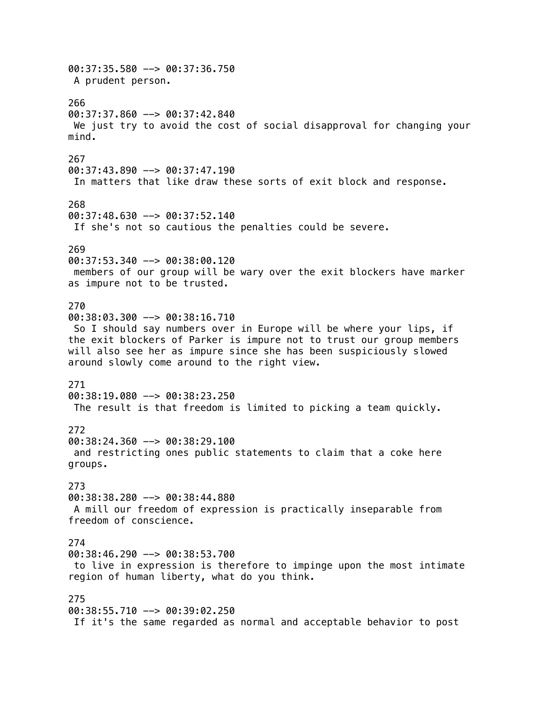00:37:35.580 --> 00:37:36.750 A prudent person. 266 00:37:37.860 --> 00:37:42.840 We just try to avoid the cost of social disapproval for changing your mind. 267 00:37:43.890 --> 00:37:47.190 In matters that like draw these sorts of exit block and response. 268 00:37:48.630 --> 00:37:52.140 If she's not so cautious the penalties could be severe. 269 00:37:53.340 --> 00:38:00.120 members of our group will be wary over the exit blockers have marker as impure not to be trusted. 270 00:38:03.300 --> 00:38:16.710 So I should say numbers over in Europe will be where your lips, if the exit blockers of Parker is impure not to trust our group members will also see her as impure since she has been suspiciously slowed around slowly come around to the right view. 271  $00:38:19.080$  -->  $00:38:23.250$  The result is that freedom is limited to picking a team quickly. 272 00:38:24.360 --> 00:38:29.100 and restricting ones public statements to claim that a coke here groups. 273 00:38:38.280 --> 00:38:44.880 A mill our freedom of expression is practically inseparable from freedom of conscience. 274 00:38:46.290 --> 00:38:53.700 to live in expression is therefore to impinge upon the most intimate region of human liberty, what do you think. 275 00:38:55.710 --> 00:39:02.250 If it's the same regarded as normal and acceptable behavior to post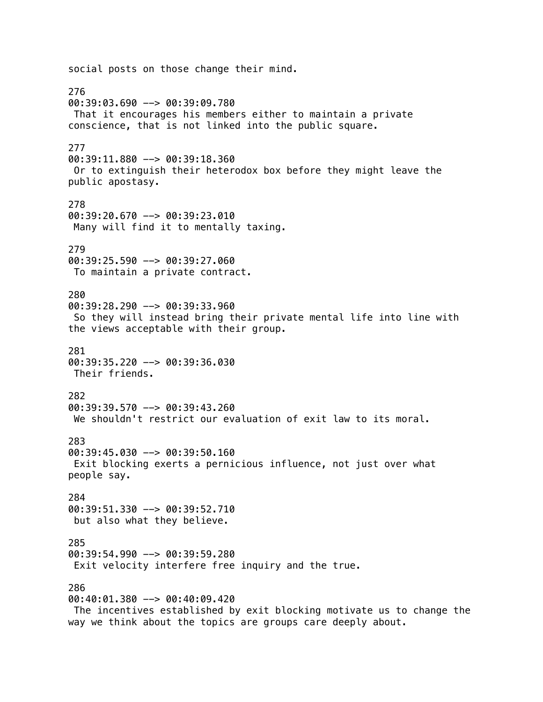social posts on those change their mind. 276 00:39:03.690 --> 00:39:09.780 That it encourages his members either to maintain a private conscience, that is not linked into the public square. 277 00:39:11.880 --> 00:39:18.360 Or to extinguish their heterodox box before they might leave the public apostasy. 278 00:39:20.670 --> 00:39:23.010 Many will find it to mentally taxing. 279 00:39:25.590 --> 00:39:27.060 To maintain a private contract. 280 00:39:28.290 --> 00:39:33.960 So they will instead bring their private mental life into line with the views acceptable with their group. 281 00:39:35.220 --> 00:39:36.030 Their friends. 282  $00:39:39.570$  -->  $00:39:43.260$  We shouldn't restrict our evaluation of exit law to its moral. 283 00:39:45.030 --> 00:39:50.160 Exit blocking exerts a pernicious influence, not just over what people say. 284 00:39:51.330 --> 00:39:52.710 but also what they believe. 285 00:39:54.990 --> 00:39:59.280 Exit velocity interfere free inquiry and the true. 286 00:40:01.380 --> 00:40:09.420 The incentives established by exit blocking motivate us to change the way we think about the topics are groups care deeply about.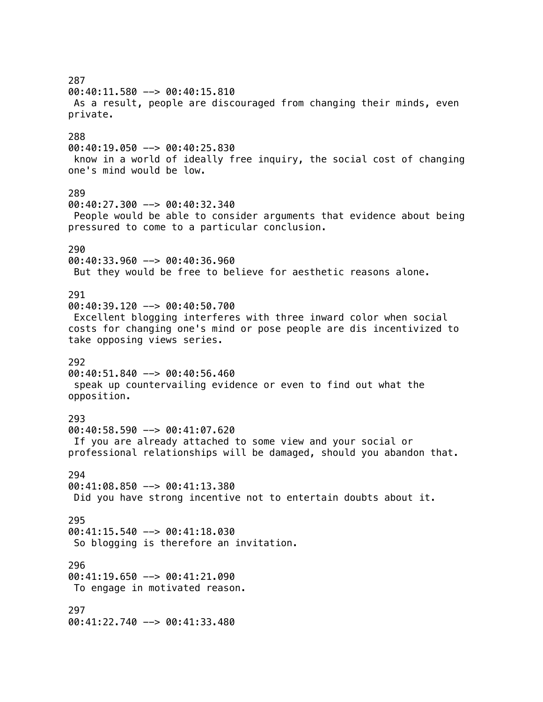287 00:40:11.580 --> 00:40:15.810 As a result, people are discouraged from changing their minds, even private. 288 00:40:19.050 --> 00:40:25.830 know in a world of ideally free inquiry, the social cost of changing one's mind would be low. 289 00:40:27.300 --> 00:40:32.340 People would be able to consider arguments that evidence about being pressured to come to a particular conclusion. 290 00:40:33.960 --> 00:40:36.960 But they would be free to believe for aesthetic reasons alone. 291 00:40:39.120 --> 00:40:50.700 Excellent blogging interferes with three inward color when social costs for changing one's mind or pose people are dis incentivized to take opposing views series. 292 00:40:51.840 --> 00:40:56.460 speak up countervailing evidence or even to find out what the opposition. 293 00:40:58.590 --> 00:41:07.620 If you are already attached to some view and your social or professional relationships will be damaged, should you abandon that. 294 00:41:08.850 --> 00:41:13.380 Did you have strong incentive not to entertain doubts about it. 295 00:41:15.540 --> 00:41:18.030 So blogging is therefore an invitation. 296 00:41:19.650 --> 00:41:21.090 To engage in motivated reason. 297 00:41:22.740 --> 00:41:33.480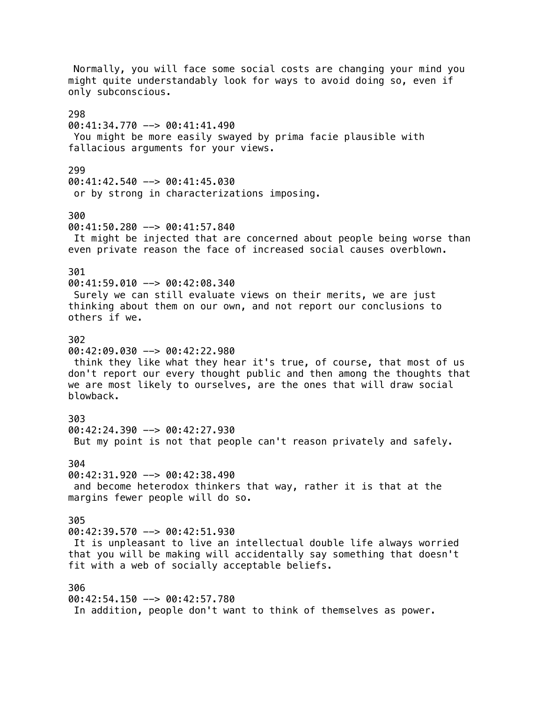Normally, you will face some social costs are changing your mind you might quite understandably look for ways to avoid doing so, even if only subconscious. 298 00:41:34.770 --> 00:41:41.490 You might be more easily swayed by prima facie plausible with fallacious arguments for your views. 299 00:41:42.540 --> 00:41:45.030 or by strong in characterizations imposing. 300 00:41:50.280 --> 00:41:57.840 It might be injected that are concerned about people being worse than even private reason the face of increased social causes overblown. 301 00:41:59.010 --> 00:42:08.340 Surely we can still evaluate views on their merits, we are just thinking about them on our own, and not report our conclusions to others if we. 302 00:42:09.030 --> 00:42:22.980 think they like what they hear it's true, of course, that most of us don't report our every thought public and then among the thoughts that we are most likely to ourselves, are the ones that will draw social blowback. 303 00:42:24.390 --> 00:42:27.930 But my point is not that people can't reason privately and safely. 304  $00:42:31.920$  -->  $00:42:38.490$  and become heterodox thinkers that way, rather it is that at the margins fewer people will do so. 305 00:42:39.570 --> 00:42:51.930 It is unpleasant to live an intellectual double life always worried that you will be making will accidentally say something that doesn't fit with a web of socially acceptable beliefs. 306 00:42:54.150 --> 00:42:57.780 In addition, people don't want to think of themselves as power.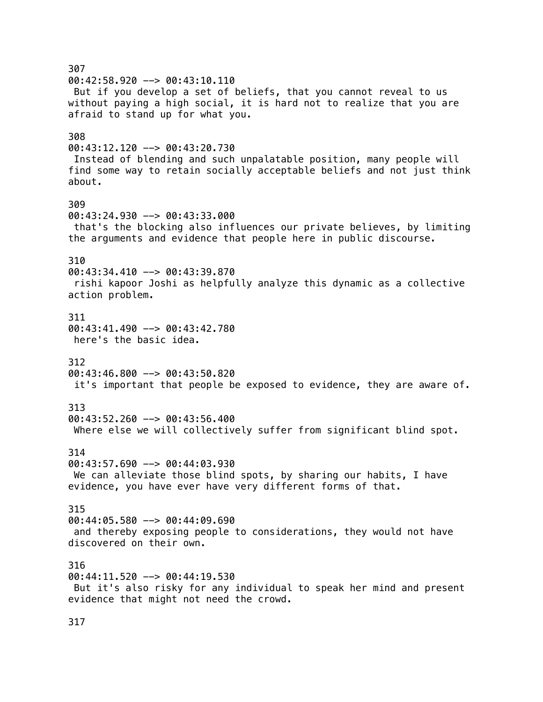| 307<br>$00:42:58.920$ --> $00:43:10.110$<br>But if you develop a set of beliefs, that you cannot reveal to us<br>without paying a high social, it is hard not to realize that you are<br>afraid to stand up for what you. |
|---------------------------------------------------------------------------------------------------------------------------------------------------------------------------------------------------------------------------|
| 308<br>$00:43:12.120$ --> $00:43:20.730$<br>Instead of blending and such unpalatable position, many people will<br>find some way to retain socially acceptable beliefs and not just think<br>about.                       |
| 309<br>$00:43:24.930$ --> $00:43:33.000$<br>that's the blocking also influences our private believes, by limiting<br>the arguments and evidence that people here in public discourse.                                     |
| 310<br>$00:43:34.410$ --> $00:43:39.870$<br>rishi kapoor Joshi as helpfully analyze this dynamic as a collective<br>action problem.                                                                                       |
| 311<br>$00:43:41.490$ --> $00:43:42.780$<br>here's the basic idea.                                                                                                                                                        |
| 312<br>$00:43:46.800$ --> $00:43:50.820$<br>it's important that people be exposed to evidence, they are aware of.                                                                                                         |
| 313<br>$00:43:52.260$ --> $00:43:56.400$<br>Where else we will collectively suffer from significant blind spot.                                                                                                           |
| 314<br>$00:43:57.690$ --> $00:44:03.930$<br>We can alleviate those blind spots, by sharing our habits, I have<br>evidence, you have ever have very different forms of that.                                               |
| 315<br>$00:44:05.580$ --> $00:44:09.690$<br>and thereby exposing people to considerations, they would not have<br>discovered on their own.                                                                                |
| 316<br>$00:44:11.520$ --> $00:44:19.530$<br>But it's also risky for any individual to speak her mind and present<br>evidence that might not need the crowd.                                                               |

317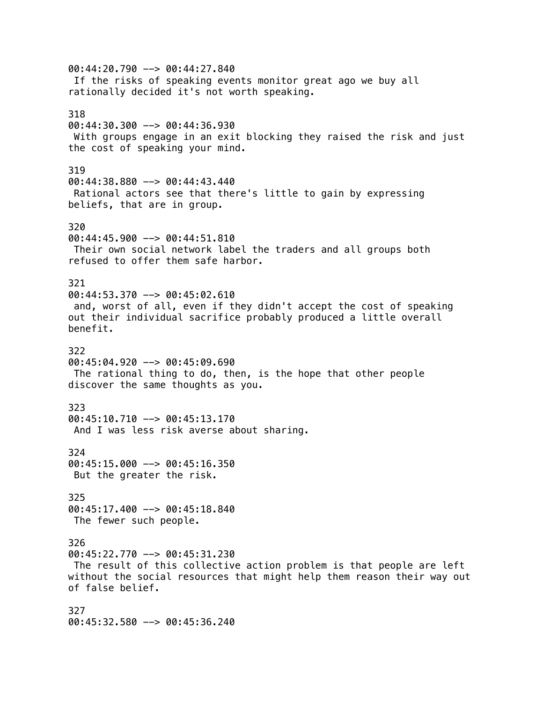00:44:20.790 --> 00:44:27.840 If the risks of speaking events monitor great ago we buy all rationally decided it's not worth speaking. 318 00:44:30.300 --> 00:44:36.930 With groups engage in an exit blocking they raised the risk and just the cost of speaking your mind. 319 00:44:38.880 --> 00:44:43.440 Rational actors see that there's little to gain by expressing beliefs, that are in group. 320 00:44:45.900 --> 00:44:51.810 Their own social network label the traders and all groups both refused to offer them safe harbor. 321 00:44:53.370 --> 00:45:02.610 and, worst of all, even if they didn't accept the cost of speaking out their individual sacrifice probably produced a little overall benefit. 322 00:45:04.920 --> 00:45:09.690 The rational thing to do, then, is the hope that other people discover the same thoughts as you. 323 00:45:10.710 --> 00:45:13.170 And I was less risk averse about sharing. 324 00:45:15.000 --> 00:45:16.350 But the greater the risk. 325 00:45:17.400 --> 00:45:18.840 The fewer such people. 326 00:45:22.770 --> 00:45:31.230 The result of this collective action problem is that people are left without the social resources that might help them reason their way out of false belief. 327 00:45:32.580 --> 00:45:36.240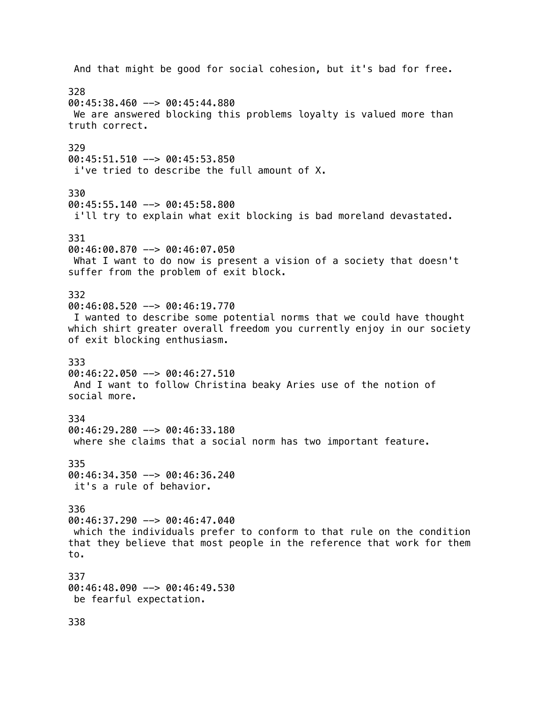And that might be good for social cohesion, but it's bad for free. 328 00:45:38.460 --> 00:45:44.880 We are answered blocking this problems loyalty is valued more than truth correct. 329 00:45:51.510 --> 00:45:53.850 i've tried to describe the full amount of X. 330 00:45:55.140 --> 00:45:58.800 i'll try to explain what exit blocking is bad moreland devastated. 331 00:46:00.870 --> 00:46:07.050 What I want to do now is present a vision of a society that doesn't suffer from the problem of exit block. 332 00:46:08.520 --> 00:46:19.770 I wanted to describe some potential norms that we could have thought which shirt greater overall freedom you currently enjoy in our society of exit blocking enthusiasm. 333  $00:46:22.050$  -->  $00:46:27.510$  And I want to follow Christina beaky Aries use of the notion of social more. 334 00:46:29.280 --> 00:46:33.180 where she claims that a social norm has two important feature. 335  $00:46:34.350$  -->  $00:46:36.240$  it's a rule of behavior. 336 00:46:37.290 --> 00:46:47.040 which the individuals prefer to conform to that rule on the condition that they believe that most people in the reference that work for them to. 337 00:46:48.090 --> 00:46:49.530 be fearful expectation.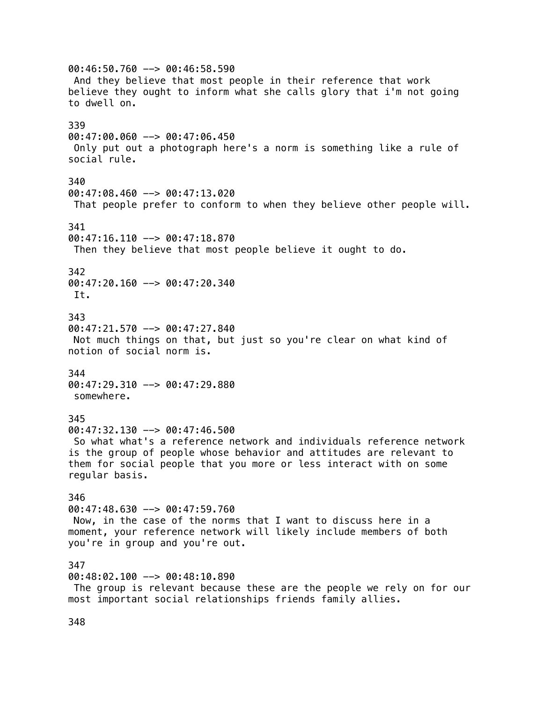00:46:50.760 --> 00:46:58.590 And they believe that most people in their reference that work believe they ought to inform what she calls glory that i'm not going to dwell on. 339 00:47:00.060 --> 00:47:06.450 Only put out a photograph here's a norm is something like a rule of social rule. 340 00:47:08.460 --> 00:47:13.020 That people prefer to conform to when they believe other people will. 341 00:47:16.110 --> 00:47:18.870 Then they believe that most people believe it ought to do. 342 00:47:20.160 --> 00:47:20.340 It. 343  $00:47:21.570$  -->  $00:47:27.840$  Not much things on that, but just so you're clear on what kind of notion of social norm is. 344 00:47:29.310 --> 00:47:29.880 somewhere. 345 00:47:32.130 --> 00:47:46.500 So what what's a reference network and individuals reference network is the group of people whose behavior and attitudes are relevant to them for social people that you more or less interact with on some regular basis. 346 00:47:48.630 --> 00:47:59.760 Now, in the case of the norms that I want to discuss here in a moment, your reference network will likely include members of both you're in group and you're out. 347 00:48:02.100 --> 00:48:10.890 The group is relevant because these are the people we rely on for our most important social relationships friends family allies.

348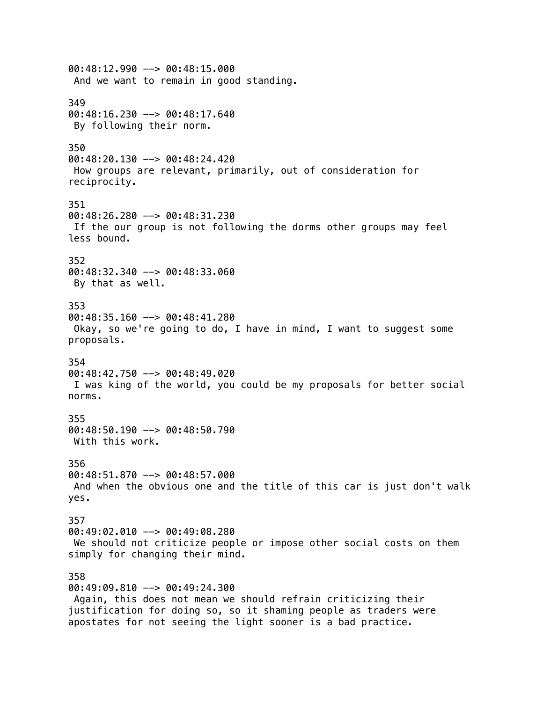00:48:12.990 --> 00:48:15.000 And we want to remain in good standing. 349 00:48:16.230 --> 00:48:17.640 By following their norm. 350 00:48:20.130 --> 00:48:24.420 How groups are relevant, primarily, out of consideration for reciprocity. 351 00:48:26.280 --> 00:48:31.230 If the our group is not following the dorms other groups may feel less bound. 352 00:48:32.340 --> 00:48:33.060 By that as well. 353 00:48:35.160 --> 00:48:41.280 Okay, so we're going to do, I have in mind, I want to suggest some proposals. 354 00:48:42.750 --> 00:48:49.020 I was king of the world, you could be my proposals for better social norms. 355 00:48:50.190 --> 00:48:50.790 With this work. 356  $00:48:51.870$  -->  $00:48:57.000$  And when the obvious one and the title of this car is just don't walk yes. 357 00:49:02.010 --> 00:49:08.280 We should not criticize people or impose other social costs on them simply for changing their mind. 358 00:49:09.810 --> 00:49:24.300 Again, this does not mean we should refrain criticizing their justification for doing so, so it shaming people as traders were apostates for not seeing the light sooner is a bad practice.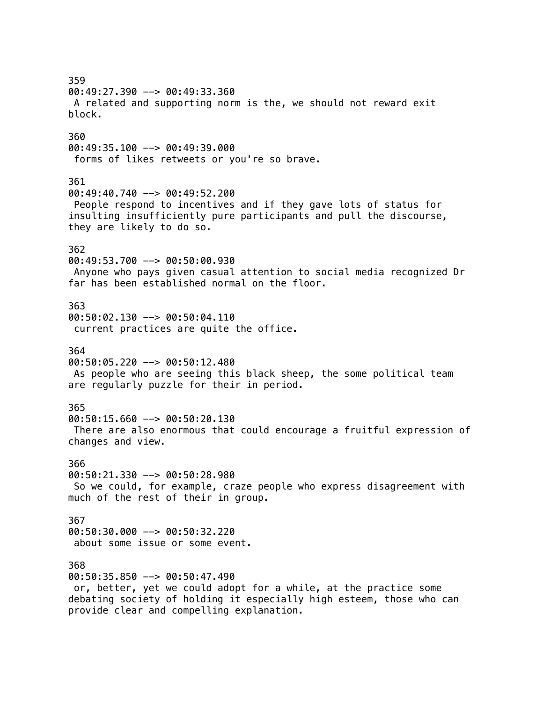359 00:49:27.390 --> 00:49:33.360 A related and supporting norm is the, we should not reward exit block. 360 00:49:35.100 --> 00:49:39.000 forms of likes retweets or you're so brave. 361 00:49:40.740 --> 00:49:52.200 People respond to incentives and if they gave lots of status for insulting insufficiently pure participants and pull the discourse, they are likely to do so. 362 00:49:53.700 --> 00:50:00.930 Anyone who pays given casual attention to social media recognized Dr far has been established normal on the floor. 363 00:50:02.130 --> 00:50:04.110 current practices are quite the office. 364 00:50:05.220 --> 00:50:12.480 As people who are seeing this black sheep, the some political team are regularly puzzle for their in period. 365 00:50:15.660 --> 00:50:20.130 There are also enormous that could encourage a fruitful expression of changes and view. 366 00:50:21.330 --> 00:50:28.980 So we could, for example, craze people who express disagreement with much of the rest of their in group. 367  $00:50:30.000$  -->  $00:50:32.220$  about some issue or some event. 368 00:50:35.850 --> 00:50:47.490 or, better, yet we could adopt for a while, at the practice some debating society of holding it especially high esteem, those who can provide clear and compelling explanation.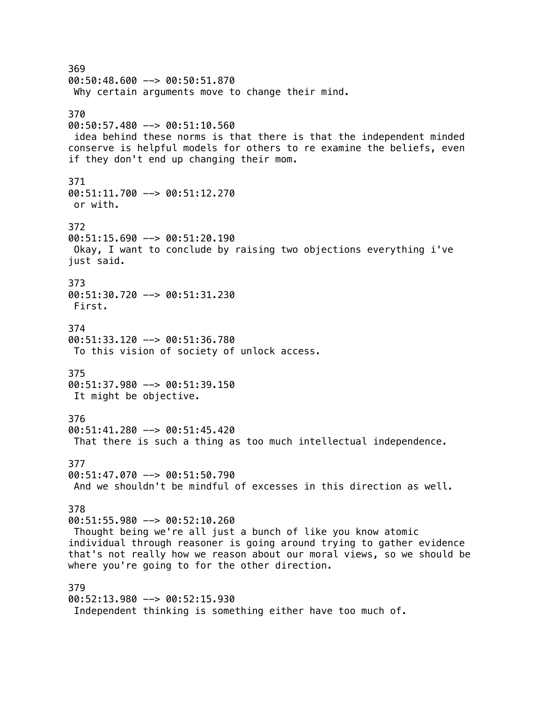369  $00:50:48.600$  -->  $00:50:51.870$  Why certain arguments move to change their mind. 370 00:50:57.480 --> 00:51:10.560 idea behind these norms is that there is that the independent minded conserve is helpful models for others to re examine the beliefs, even if they don't end up changing their mom. 371 00:51:11.700 --> 00:51:12.270 or with. 372 00:51:15.690 --> 00:51:20.190 Okay, I want to conclude by raising two objections everything i've just said. 373 00:51:30.720 --> 00:51:31.230 First. 374 00:51:33.120 --> 00:51:36.780 To this vision of society of unlock access. 375 00:51:37.980 --> 00:51:39.150 It might be objective. 376 00:51:41.280 --> 00:51:45.420 That there is such a thing as too much intellectual independence. 377  $00:51:47.070$  -->  $00:51:50.790$  And we shouldn't be mindful of excesses in this direction as well. 378 00:51:55.980 --> 00:52:10.260 Thought being we're all just a bunch of like you know atomic individual through reasoner is going around trying to gather evidence that's not really how we reason about our moral views, so we should be where you're going to for the other direction. 379 00:52:13.980 --> 00:52:15.930 Independent thinking is something either have too much of.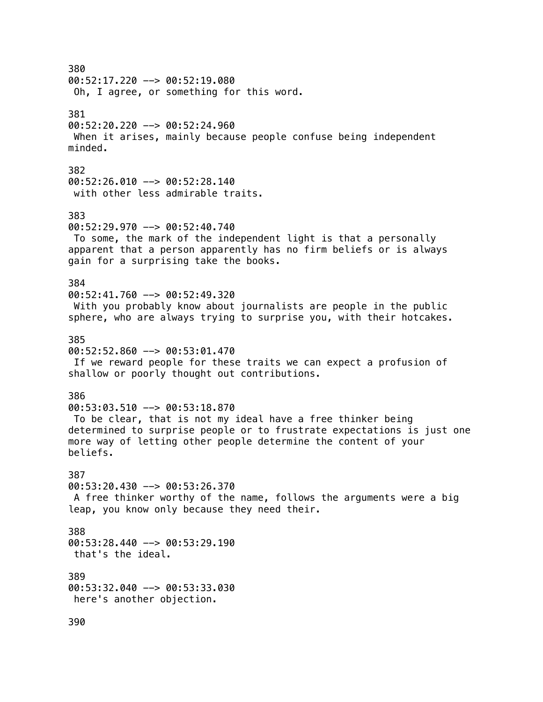380 00:52:17.220 --> 00:52:19.080 Oh, I agree, or something for this word. 381 00:52:20.220 --> 00:52:24.960 When it arises, mainly because people confuse being independent minded. 382  $00:52:26.010$  -->  $00:52:28.140$  with other less admirable traits. 383 00:52:29.970 --> 00:52:40.740 To some, the mark of the independent light is that a personally apparent that a person apparently has no firm beliefs or is always gain for a surprising take the books. 384 00:52:41.760 --> 00:52:49.320 With you probably know about journalists are people in the public sphere, who are always trying to surprise you, with their hotcakes. 385 00:52:52.860 --> 00:53:01.470 If we reward people for these traits we can expect a profusion of shallow or poorly thought out contributions. 386 00:53:03.510 --> 00:53:18.870 To be clear, that is not my ideal have a free thinker being determined to surprise people or to frustrate expectations is just one more way of letting other people determine the content of your beliefs. 387 00:53:20.430 --> 00:53:26.370 A free thinker worthy of the name, follows the arguments were a big leap, you know only because they need their. 388  $00:53:28.440$  -->  $00:53:29.190$  that's the ideal. 389 00:53:32.040 --> 00:53:33.030 here's another objection. 390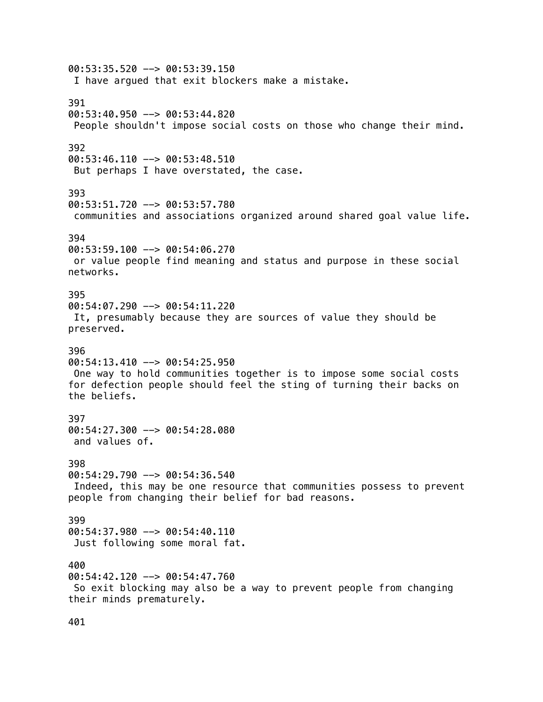00:53:35.520 --> 00:53:39.150 I have argued that exit blockers make a mistake. 391 00:53:40.950 --> 00:53:44.820 People shouldn't impose social costs on those who change their mind. 392 00:53:46.110 --> 00:53:48.510 But perhaps I have overstated, the case. 393 00:53:51.720 --> 00:53:57.780 communities and associations organized around shared goal value life. 394 00:53:59.100 --> 00:54:06.270 or value people find meaning and status and purpose in these social networks. 395 00:54:07.290 --> 00:54:11.220 It, presumably because they are sources of value they should be preserved. 396  $00:54:13.410$  -->  $00:54:25.950$  One way to hold communities together is to impose some social costs for defection people should feel the sting of turning their backs on the beliefs. 397 00:54:27.300 --> 00:54:28.080 and values of. 398  $00:54:29.790 \rightarrow 00:54:36.540$  Indeed, this may be one resource that communities possess to prevent people from changing their belief for bad reasons. 399 00:54:37.980 --> 00:54:40.110 Just following some moral fat. 400 00:54:42.120 --> 00:54:47.760 So exit blocking may also be a way to prevent people from changing their minds prematurely.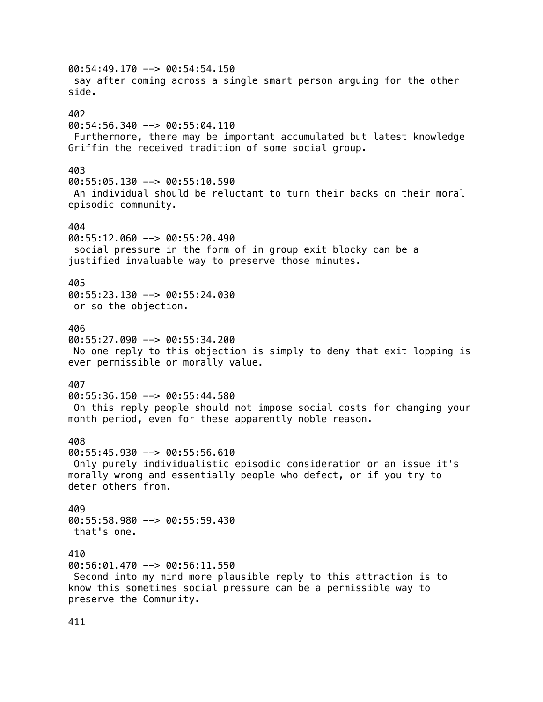00:54:49.170 --> 00:54:54.150 say after coming across a single smart person arguing for the other side. 402 00:54:56.340 --> 00:55:04.110 Furthermore, there may be important accumulated but latest knowledge Griffin the received tradition of some social group. 403  $00:55:05.130$  -->  $00:55:10.590$  An individual should be reluctant to turn their backs on their moral episodic community. 404 00:55:12.060 --> 00:55:20.490 social pressure in the form of in group exit blocky can be a justified invaluable way to preserve those minutes. 405 00:55:23.130 --> 00:55:24.030 or so the objection. 406 00:55:27.090 --> 00:55:34.200 No one reply to this objection is simply to deny that exit lopping is ever permissible or morally value. 407  $00:55:36.150$  -->  $00:55:44.580$  On this reply people should not impose social costs for changing your month period, even for these apparently noble reason. 408 00:55:45.930 --> 00:55:56.610 Only purely individualistic episodic consideration or an issue it's morally wrong and essentially people who defect, or if you try to deter others from. 409 00:55:58.980 --> 00:55:59.430 that's one. 410 00:56:01.470 --> 00:56:11.550 Second into my mind more plausible reply to this attraction is to know this sometimes social pressure can be a permissible way to preserve the Community.

411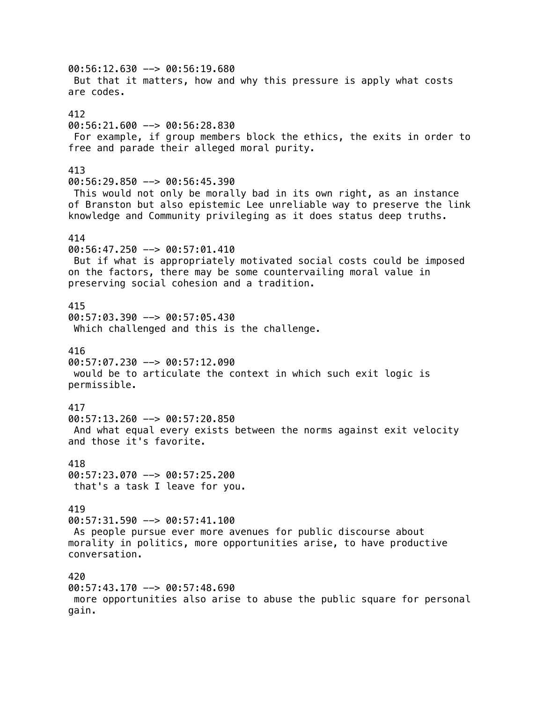00:56:12.630 --> 00:56:19.680 But that it matters, how and why this pressure is apply what costs are codes. 412 00:56:21.600 --> 00:56:28.830 For example, if group members block the ethics, the exits in order to free and parade their alleged moral purity. 413  $00:56:29.850 \rightarrow 00:56:45.390$  This would not only be morally bad in its own right, as an instance of Branston but also epistemic Lee unreliable way to preserve the link knowledge and Community privileging as it does status deep truths. 414 00:56:47.250 --> 00:57:01.410 But if what is appropriately motivated social costs could be imposed on the factors, there may be some countervailing moral value in preserving social cohesion and a tradition. 415 00:57:03.390 --> 00:57:05.430 Which challenged and this is the challenge. 416 00:57:07.230 --> 00:57:12.090 would be to articulate the context in which such exit logic is permissible. 417 00:57:13.260 --> 00:57:20.850 And what equal every exists between the norms against exit velocity and those it's favorite. 418  $00:57:23.070$  -->  $00:57:25.200$  that's a task I leave for you. 419 00:57:31.590 --> 00:57:41.100 As people pursue ever more avenues for public discourse about morality in politics, more opportunities arise, to have productive conversation. 420 00:57:43.170 --> 00:57:48.690 more opportunities also arise to abuse the public square for personal gain.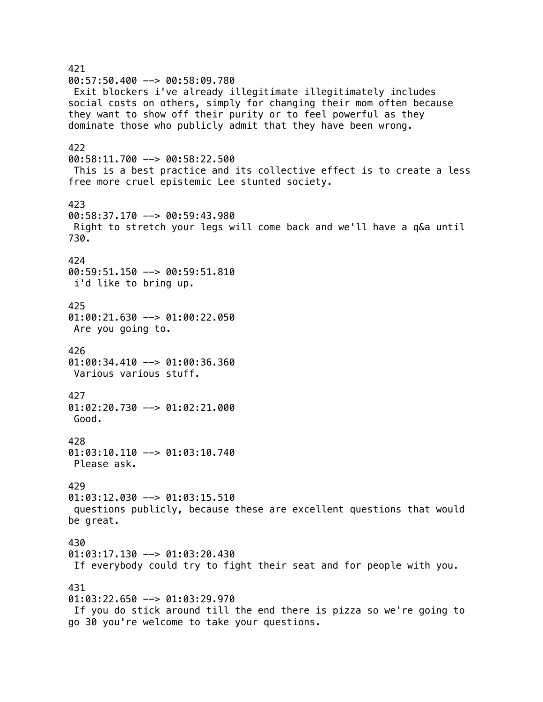421  $00:57:50.400$  -->  $00:58:09.780$  Exit blockers i've already illegitimate illegitimately includes social costs on others, simply for changing their mom often because they want to show off their purity or to feel powerful as they dominate those who publicly admit that they have been wrong. 422 00:58:11.700 --> 00:58:22.500 This is a best practice and its collective effect is to create a less free more cruel epistemic Lee stunted society. 423 00:58:37.170 --> 00:59:43.980 Right to stretch your legs will come back and we'll have a q&a until 730. 424 00:59:51.150 --> 00:59:51.810 i'd like to bring up. 425 01:00:21.630 --> 01:00:22.050 Are you going to. 426  $01:00:34.410$  -->  $01:00:36.360$  Various various stuff. 427  $01:02:20.730$  -->  $01:02:21.000$  Good. 428 01:03:10.110 --> 01:03:10.740 Please ask. 429 01:03:12.030 --> 01:03:15.510 questions publicly, because these are excellent questions that would be great. 430 01:03:17.130 --> 01:03:20.430 If everybody could try to fight their seat and for people with you. 431 01:03:22.650 --> 01:03:29.970 If you do stick around till the end there is pizza so we're going to go 30 you're welcome to take your questions.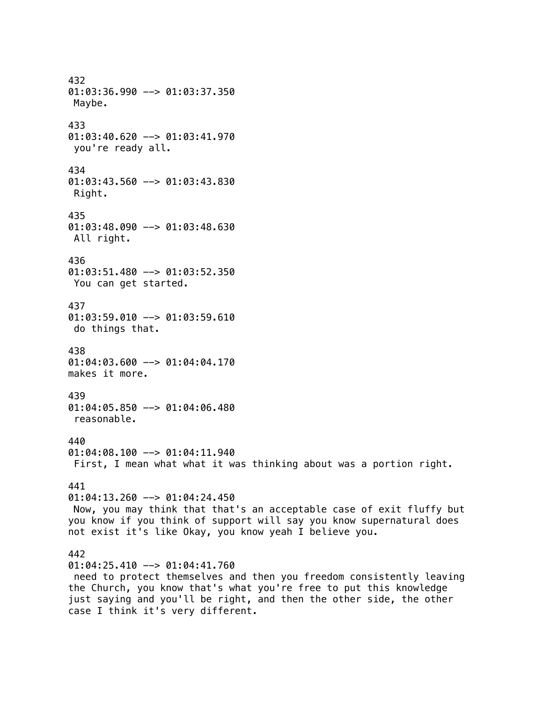432 01:03:36.990 --> 01:03:37.350 Maybe. 433  $01:03:40.620$  -->  $01:03:41.970$  you're ready all. 434 01:03:43.560 --> 01:03:43.830 Right. 435 01:03:48.090 --> 01:03:48.630 All right. 436 01:03:51.480 --> 01:03:52.350 You can get started. 437 01:03:59.010 --> 01:03:59.610 do things that. 438  $01:04:03.600$  -->  $01:04:04.170$ makes it more. 439 01:04:05.850 --> 01:04:06.480 reasonable. 440 01:04:08.100 --> 01:04:11.940 First, I mean what what it was thinking about was a portion right. 441 01:04:13.260 --> 01:04:24.450 Now, you may think that that's an acceptable case of exit fluffy but you know if you think of support will say you know supernatural does not exist it's like Okay, you know yeah I believe you. 442  $01:04:25.410$  -->  $01:04:41.760$  need to protect themselves and then you freedom consistently leaving the Church, you know that's what you're free to put this knowledge just saying and you'll be right, and then the other side, the other case I think it's very different.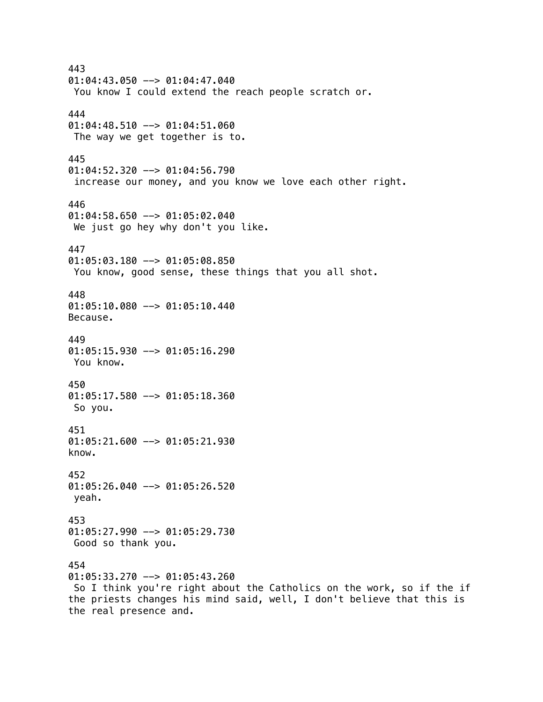443 01:04:43.050 --> 01:04:47.040 You know I could extend the reach people scratch or. 444 01:04:48.510 --> 01:04:51.060 The way we get together is to. 445 01:04:52.320 --> 01:04:56.790 increase our money, and you know we love each other right. 446 01:04:58.650 --> 01:05:02.040 We just go hey why don't you like. 447 01:05:03.180 --> 01:05:08.850 You know, good sense, these things that you all shot. 448 01:05:10.080 --> 01:05:10.440 Because. 449  $01:05:15.930$  -->  $01:05:16.290$  You know. 450 01:05:17.580 --> 01:05:18.360 So you. 451 01:05:21.600 --> 01:05:21.930 know. 452 01:05:26.040 --> 01:05:26.520 yeah. 453 01:05:27.990 --> 01:05:29.730 Good so thank you. 454 01:05:33.270 --> 01:05:43.260 So I think you're right about the Catholics on the work, so if the if the priests changes his mind said, well, I don't believe that this is the real presence and.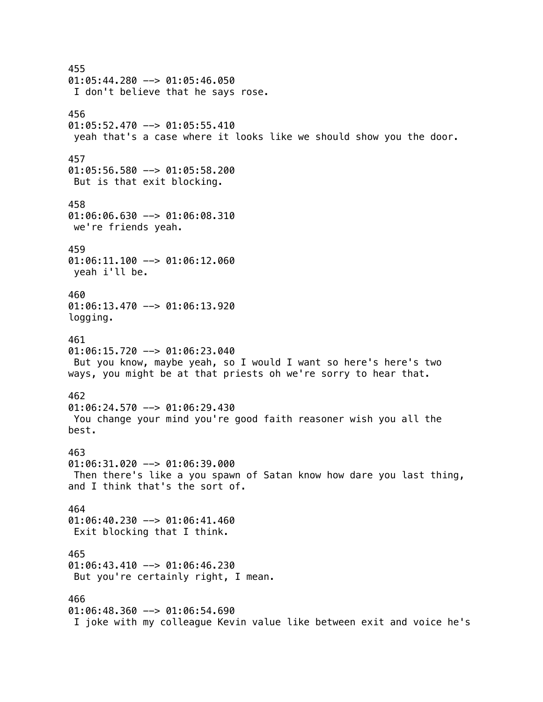455 01:05:44.280 --> 01:05:46.050 I don't believe that he says rose. 456  $01:05:52.470$  -->  $01:05:55.410$  yeah that's a case where it looks like we should show you the door. 457 01:05:56.580 --> 01:05:58.200 But is that exit blocking. 458 01:06:06.630 --> 01:06:08.310 we're friends yeah. 459 01:06:11.100 --> 01:06:12.060 yeah i'll be. 460 01:06:13.470 --> 01:06:13.920 logging. 461  $01:06:15.720$  -->  $01:06:23.040$  But you know, maybe yeah, so I would I want so here's here's two ways, you might be at that priests oh we're sorry to hear that. 462  $01:06:24.570$  -->  $01:06:29.430$  You change your mind you're good faith reasoner wish you all the best. 463 01:06:31.020 --> 01:06:39.000 Then there's like a you spawn of Satan know how dare you last thing, and I think that's the sort of. 464 01:06:40.230 --> 01:06:41.460 Exit blocking that I think. 465  $01:06:43.410$  -->  $01:06:46.230$  But you're certainly right, I mean. 466 01:06:48.360 --> 01:06:54.690 I joke with my colleague Kevin value like between exit and voice he's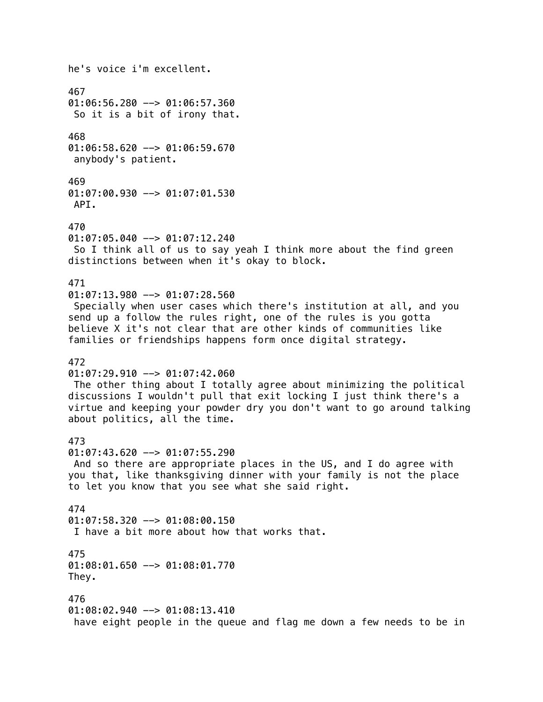he's voice i'm excellent. 467 01:06:56.280 --> 01:06:57.360 So it is a bit of irony that. 468 01:06:58.620 --> 01:06:59.670 anybody's patient. 469 01:07:00.930 --> 01:07:01.530 API. 470 01:07:05.040 --> 01:07:12.240 So I think all of us to say yeah I think more about the find green distinctions between when it's okay to block. 471  $01:07:13.980$  -->  $01:07:28.560$  Specially when user cases which there's institution at all, and you send up a follow the rules right, one of the rules is you gotta believe X it's not clear that are other kinds of communities like families or friendships happens form once digital strategy. 472  $01:07:29.910$  -->  $01:07:42.060$  The other thing about I totally agree about minimizing the political discussions I wouldn't pull that exit locking I just think there's a virtue and keeping your powder dry you don't want to go around talking about politics, all the time. 473  $01:07:43.620$  -->  $01:07:55.290$  And so there are appropriate places in the US, and I do agree with you that, like thanksgiving dinner with your family is not the place to let you know that you see what she said right. 474 01:07:58.320 --> 01:08:00.150 I have a bit more about how that works that. 475 01:08:01.650 --> 01:08:01.770 They. 476 01:08:02.940 --> 01:08:13.410 have eight people in the queue and flag me down a few needs to be in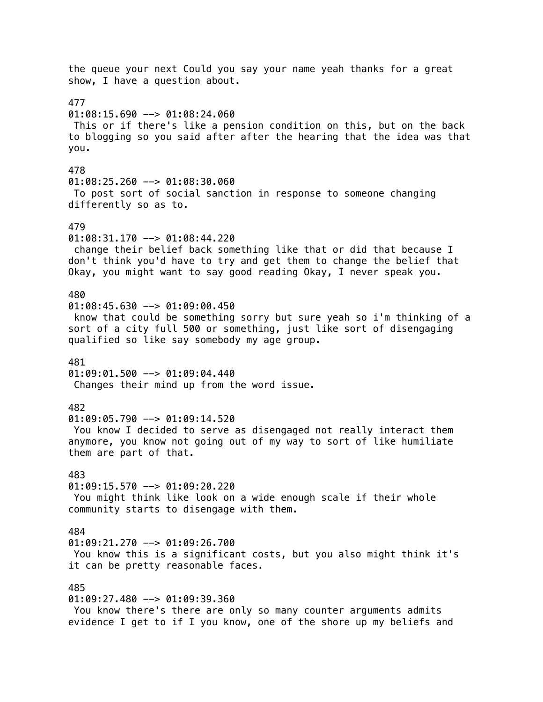the queue your next Could you say your name yeah thanks for a great show, I have a question about. 477  $01:08:15.690$  -->  $01:08:24.060$  This or if there's like a pension condition on this, but on the back to blogging so you said after after the hearing that the idea was that you. 478 01:08:25.260 --> 01:08:30.060 To post sort of social sanction in response to someone changing differently so as to. 479 01:08:31.170 --> 01:08:44.220 change their belief back something like that or did that because I don't think you'd have to try and get them to change the belief that Okay, you might want to say good reading Okay, I never speak you. 480  $01:08:45.630$  -->  $01:09:00.450$  know that could be something sorry but sure yeah so i'm thinking of a sort of a city full 500 or something, just like sort of disengaging qualified so like say somebody my age group. 481  $01:09:01.500$  -->  $01:09:04.440$  Changes their mind up from the word issue. 482 01:09:05.790 --> 01:09:14.520 You know I decided to serve as disengaged not really interact them anymore, you know not going out of my way to sort of like humiliate them are part of that. 483 01:09:15.570 --> 01:09:20.220 You might think like look on a wide enough scale if their whole community starts to disengage with them. 484 01:09:21.270 --> 01:09:26.700 You know this is a significant costs, but you also might think it's it can be pretty reasonable faces. 485 01:09:27.480 --> 01:09:39.360 You know there's there are only so many counter arguments admits evidence I get to if I you know, one of the shore up my beliefs and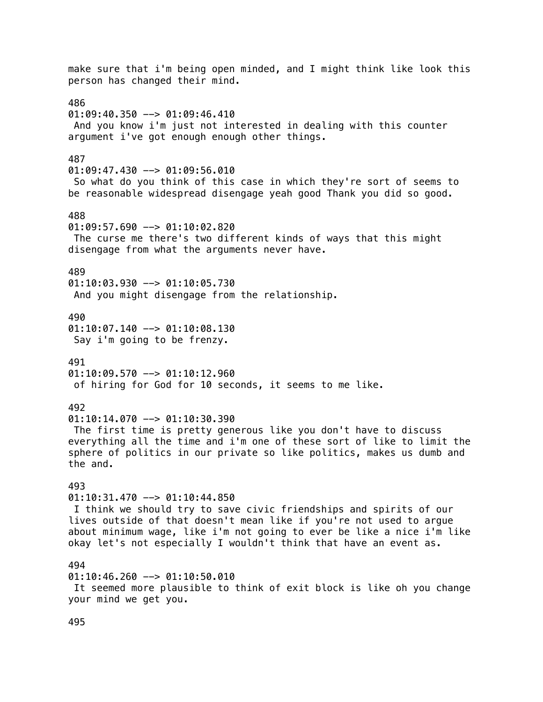make sure that i'm being open minded, and I might think like look this person has changed their mind. 486  $01:09:40.350$  -->  $01:09:46.410$  And you know i'm just not interested in dealing with this counter argument i've got enough enough other things. 487  $01:09:47.430$  -->  $01:09:56.010$  So what do you think of this case in which they're sort of seems to be reasonable widespread disengage yeah good Thank you did so good. 488 01:09:57.690 --> 01:10:02.820 The curse me there's two different kinds of ways that this might disengage from what the arguments never have. 489  $01:10:03.930$  -->  $01:10:05.730$  And you might disengage from the relationship. 490  $01:10:07.140$  -->  $01:10:08.130$  Say i'm going to be frenzy. 491  $01:10:09.570$  -->  $01:10:12.960$  of hiring for God for 10 seconds, it seems to me like. 492  $01:10:14.070$  -->  $01:10:30.390$  The first time is pretty generous like you don't have to discuss everything all the time and i'm one of these sort of like to limit the sphere of politics in our private so like politics, makes us dumb and the and. 493  $01:10:31.470$  -->  $01:10:44.850$  I think we should try to save civic friendships and spirits of our lives outside of that doesn't mean like if you're not used to argue about minimum wage, like i'm not going to ever be like a nice i'm like okay let's not especially I wouldn't think that have an event as. 494 01:10:46.260 --> 01:10:50.010 It seemed more plausible to think of exit block is like oh you change your mind we get you.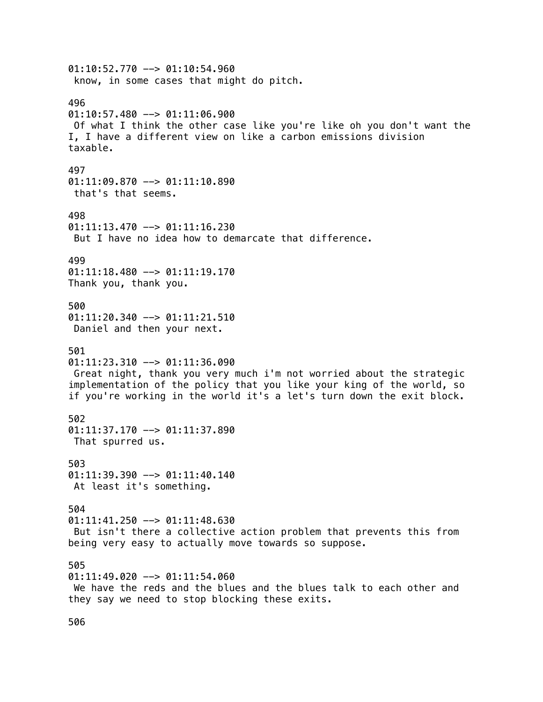01:10:52.770 --> 01:10:54.960 know, in some cases that might do pitch. 496  $01:10:57.480$  -->  $01:11:06.900$  Of what I think the other case like you're like oh you don't want the I, I have a different view on like a carbon emissions division taxable. 497 01:11:09.870 --> 01:11:10.890 that's that seems. 498  $01:11:13.470$  -->  $01:11:16.230$  But I have no idea how to demarcate that difference. 499 01:11:18.480 --> 01:11:19.170 Thank you, thank you. 500 01:11:20.340 --> 01:11:21.510 Daniel and then your next. 501  $01:11:23.310$  -->  $01:11:36.090$  Great night, thank you very much i'm not worried about the strategic implementation of the policy that you like your king of the world, so if you're working in the world it's a let's turn down the exit block. 502  $01:11:37.170$  -->  $01:11:37.890$  That spurred us. 503  $01:11:39.390$  -->  $01:11:40.140$  At least it's something. 504 01:11:41.250 --> 01:11:48.630 But isn't there a collective action problem that prevents this from being very easy to actually move towards so suppose. 505  $01:11:49.020$  -->  $01:11:54.060$  We have the reds and the blues and the blues talk to each other and they say we need to stop blocking these exits.

506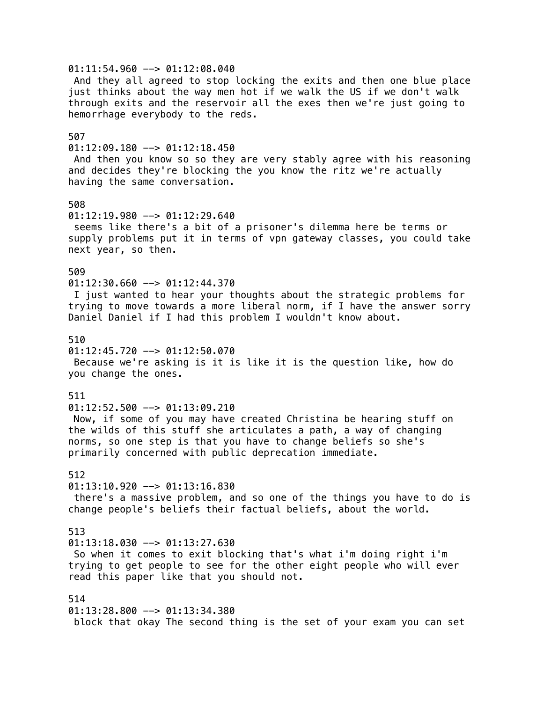$01:11:54.960$  -->  $01:12:08.040$  And they all agreed to stop locking the exits and then one blue place just thinks about the way men hot if we walk the US if we don't walk through exits and the reservoir all the exes then we're just going to hemorrhage everybody to the reds. 507  $01:12:09.180$  -->  $01:12:18.450$  And then you know so so they are very stably agree with his reasoning and decides they're blocking the you know the ritz we're actually having the same conversation. 508  $01:12:19.980$  -->  $01:12:29.640$  seems like there's a bit of a prisoner's dilemma here be terms or supply problems put it in terms of vpn gateway classes, you could take next year, so then. 509  $01:12:30.660$  -->  $01:12:44.370$  I just wanted to hear your thoughts about the strategic problems for trying to move towards a more liberal norm, if I have the answer sorry Daniel Daniel if I had this problem I wouldn't know about. 510  $01:12:45.720$  -->  $01:12:50.070$  Because we're asking is it is like it is the question like, how do you change the ones. 511 01:12:52.500 --> 01:13:09.210 Now, if some of you may have created Christina be hearing stuff on the wilds of this stuff she articulates a path, a way of changing norms, so one step is that you have to change beliefs so she's primarily concerned with public deprecation immediate. 512  $01:13:10.920$  -->  $01:13:16.830$  there's a massive problem, and so one of the things you have to do is change people's beliefs their factual beliefs, about the world. 513  $01:13:18.030$  -->  $01:13:27.630$  So when it comes to exit blocking that's what i'm doing right i'm trying to get people to see for the other eight people who will ever read this paper like that you should not. 514 01:13:28.800 --> 01:13:34.380 block that okay The second thing is the set of your exam you can set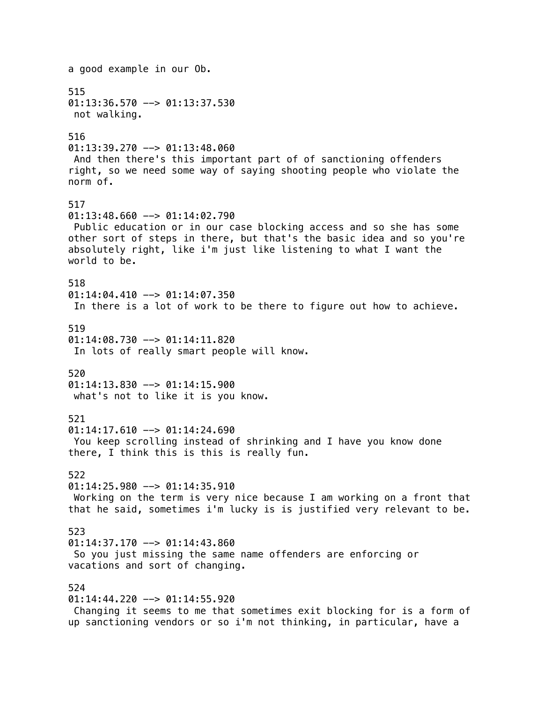a good example in our Ob. 515  $01:13:36.570$  -->  $01:13:37.530$  not walking. 516  $01:13:39.270$  -->  $01:13:48.060$  And then there's this important part of of sanctioning offenders right, so we need some way of saying shooting people who violate the norm of. 517  $01:13:48.660$  -->  $01:14:02.790$  Public education or in our case blocking access and so she has some other sort of steps in there, but that's the basic idea and so you're absolutely right, like i'm just like listening to what I want the world to be. 518  $01:14:04.410$  -->  $01:14:07.350$  In there is a lot of work to be there to figure out how to achieve. 519 01:14:08.730 --> 01:14:11.820 In lots of really smart people will know. 520 01:14:13.830 --> 01:14:15.900 what's not to like it is you know. 521  $01:14:17.610$  -->  $01:14:24.690$  You keep scrolling instead of shrinking and I have you know done there, I think this is this is really fun. 522  $01:14:25.980$  -->  $01:14:35.910$  Working on the term is very nice because I am working on a front that that he said, sometimes i'm lucky is is justified very relevant to be. 523  $01:14:37.170$  -->  $01:14:43.860$  So you just missing the same name offenders are enforcing or vacations and sort of changing. 524  $01:14:44.220$  -->  $01:14:55.920$  Changing it seems to me that sometimes exit blocking for is a form of up sanctioning vendors or so i'm not thinking, in particular, have a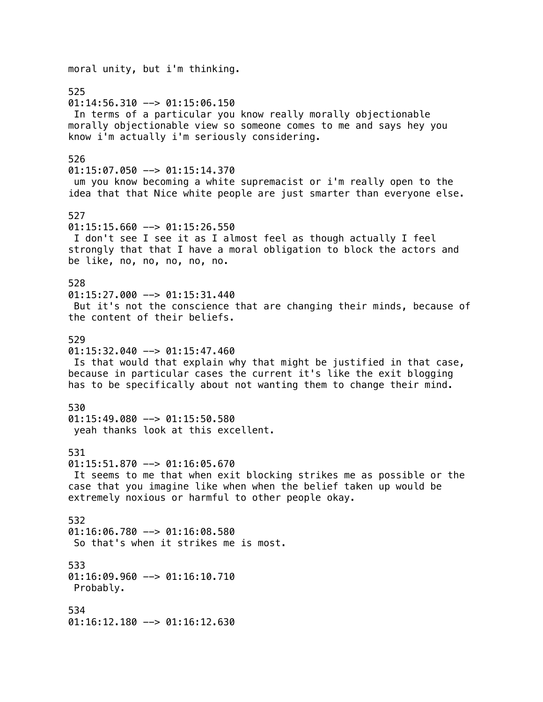moral unity, but i'm thinking. 525  $01:14:56.310$  -->  $01:15:06.150$  In terms of a particular you know really morally objectionable morally objectionable view so someone comes to me and says hey you know i'm actually i'm seriously considering. 526  $01:15:07.050$  -->  $01:15:14.370$  um you know becoming a white supremacist or i'm really open to the idea that that Nice white people are just smarter than everyone else. 527  $01:15:15.660$  -->  $01:15:26.550$  I don't see I see it as I almost feel as though actually I feel strongly that that I have a moral obligation to block the actors and be like, no, no, no, no, no. 528  $01:15:27.000$  -->  $01:15:31.440$  But it's not the conscience that are changing their minds, because of the content of their beliefs. 529  $01:15:32.040$  -->  $01:15:47.460$  Is that would that explain why that might be justified in that case, because in particular cases the current it's like the exit blogging has to be specifically about not wanting them to change their mind. 530  $01:15:49.080$  -->  $01:15:50.580$  yeah thanks look at this excellent. 531  $01:15:51.870$  -->  $01:16:05.670$  It seems to me that when exit blocking strikes me as possible or the case that you imagine like when when the belief taken up would be extremely noxious or harmful to other people okay. 532  $01:16:06.780$  -->  $01:16:08.580$  So that's when it strikes me is most. 533 01:16:09.960 --> 01:16:10.710 Probably. 534 01:16:12.180 --> 01:16:12.630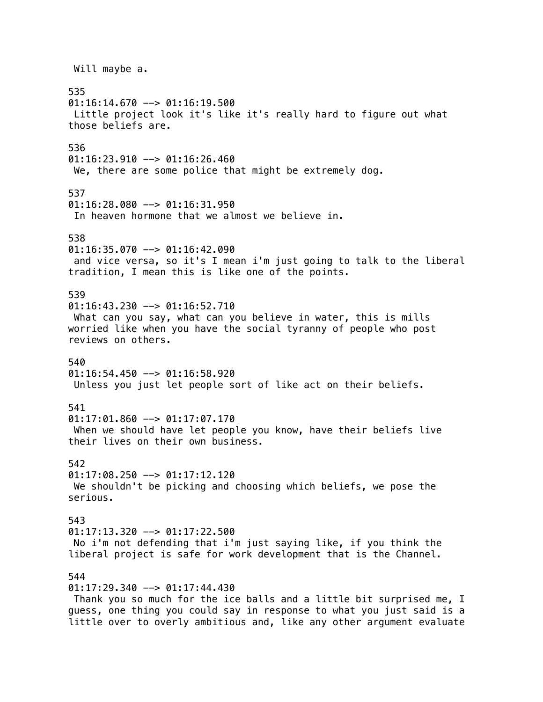Will maybe a. 535  $01:16:14.670$  -->  $01:16:19.500$  Little project look it's like it's really hard to figure out what those beliefs are. 536  $01:16:23.910$  -->  $01:16:26.460$ We, there are some police that might be extremely dog. 537 01:16:28.080 --> 01:16:31.950 In heaven hormone that we almost we believe in. 538  $01:16:35.070$  -->  $01:16:42.090$  and vice versa, so it's I mean i'm just going to talk to the liberal tradition, I mean this is like one of the points. 539  $01:16:43.230$  -->  $01:16:52.710$ What can you say, what can you believe in water, this is mills worried like when you have the social tyranny of people who post reviews on others. 540  $01:16:54.450$  -->  $01:16:58.920$  Unless you just let people sort of like act on their beliefs. 541 01:17:01.860 --> 01:17:07.170 When we should have let people you know, have their beliefs live their lives on their own business. 542  $01:17:08.250$  -->  $01:17:12.120$  We shouldn't be picking and choosing which beliefs, we pose the serious. 543  $01:17:13.320$  -->  $01:17:22.500$  No i'm not defending that i'm just saying like, if you think the liberal project is safe for work development that is the Channel. 544  $01:17:29.340$  -->  $01:17:44.430$  Thank you so much for the ice balls and a little bit surprised me, I guess, one thing you could say in response to what you just said is a little over to overly ambitious and, like any other argument evaluate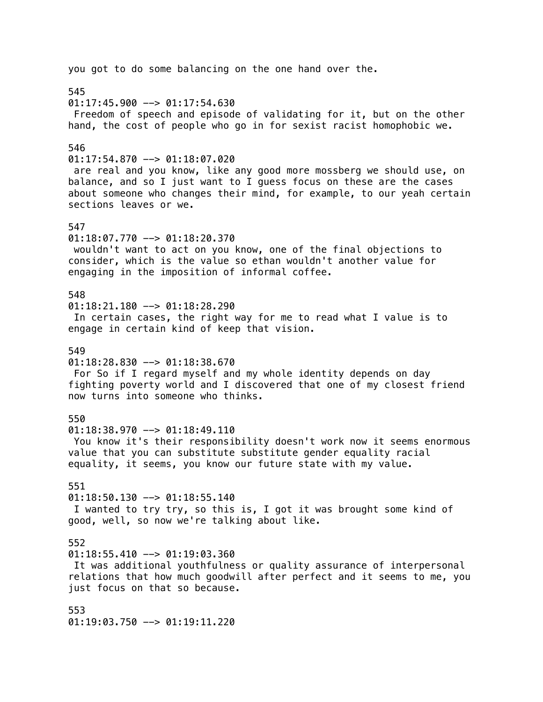you got to do some balancing on the one hand over the. 545  $01:17:45.900$  -->  $01:17:54.630$  Freedom of speech and episode of validating for it, but on the other hand, the cost of people who go in for sexist racist homophobic we. 546  $01:17:54.870$  -->  $01:18:07.020$  are real and you know, like any good more mossberg we should use, on balance, and so I just want to I guess focus on these are the cases about someone who changes their mind, for example, to our yeah certain sections leaves or we. 547 01:18:07.770 --> 01:18:20.370 wouldn't want to act on you know, one of the final objections to consider, which is the value so ethan wouldn't another value for engaging in the imposition of informal coffee. 548  $01:18:21.180$  -->  $01:18:28.290$  In certain cases, the right way for me to read what I value is to engage in certain kind of keep that vision. 549  $01:18:28.830$  -->  $01:18:38.670$  For So if I regard myself and my whole identity depends on day fighting poverty world and I discovered that one of my closest friend now turns into someone who thinks. 550  $01:18:38.970$  -->  $01:18:49.110$  You know it's their responsibility doesn't work now it seems enormous value that you can substitute substitute gender equality racial equality, it seems, you know our future state with my value. 551 01:18:50.130 --> 01:18:55.140 I wanted to try try, so this is, I got it was brought some kind of good, well, so now we're talking about like. 552  $01:18:55.410$  -->  $01:19:03.360$  It was additional youthfulness or quality assurance of interpersonal relations that how much goodwill after perfect and it seems to me, you just focus on that so because. 553 01:19:03.750 --> 01:19:11.220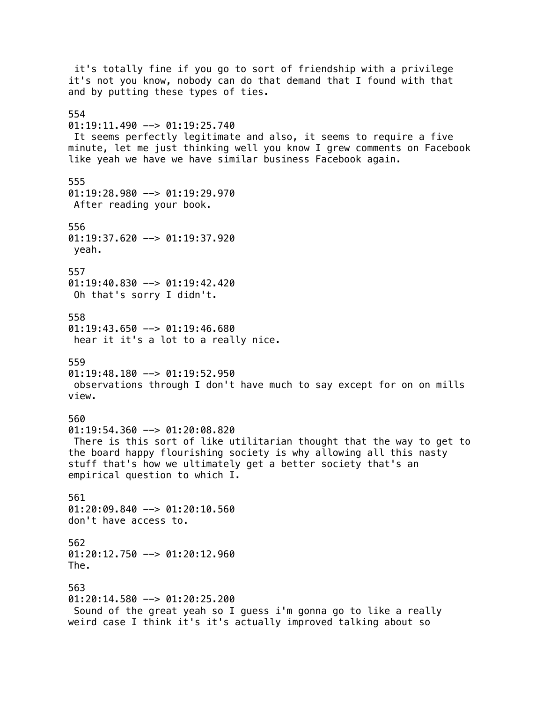it's totally fine if you go to sort of friendship with a privilege it's not you know, nobody can do that demand that I found with that and by putting these types of ties. 554  $01:19:11.490$  -->  $01:19:25.740$  It seems perfectly legitimate and also, it seems to require a five minute, let me just thinking well you know I grew comments on Facebook like yeah we have we have similar business Facebook again. 555 01:19:28.980 --> 01:19:29.970 After reading your book. 556 01:19:37.620 --> 01:19:37.920 yeah. 557  $01:19:40.830$  -->  $01:19:42.420$  Oh that's sorry I didn't. 558  $01:19:43.650$  -->  $01:19:46.680$  hear it it's a lot to a really nice. 559  $01:19:48.180$  -->  $01:19:52.950$  observations through I don't have much to say except for on on mills view. 560 01:19:54.360 --> 01:20:08.820 There is this sort of like utilitarian thought that the way to get to the board happy flourishing society is why allowing all this nasty stuff that's how we ultimately get a better society that's an empirical question to which I. 561 01:20:09.840 --> 01:20:10.560 don't have access to. 562 01:20:12.750 --> 01:20:12.960 The. 563 01:20:14.580 --> 01:20:25.200 Sound of the great yeah so I guess i'm gonna go to like a really weird case I think it's it's actually improved talking about so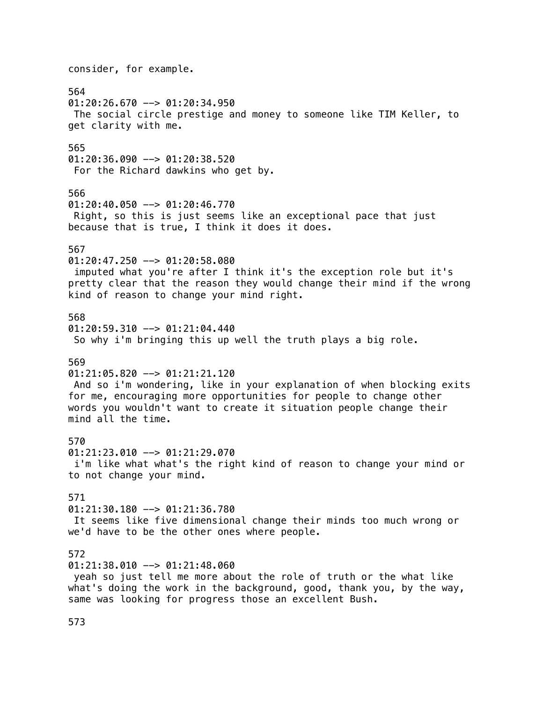consider, for example. 564  $01:20:26.670$  -->  $01:20:34.950$  The social circle prestige and money to someone like TIM Keller, to get clarity with me. 565 01:20:36.090 --> 01:20:38.520 For the Richard dawkins who get by. 566 01:20:40.050 --> 01:20:46.770 Right, so this is just seems like an exceptional pace that just because that is true, I think it does it does. 567 01:20:47.250 --> 01:20:58.080 imputed what you're after I think it's the exception role but it's pretty clear that the reason they would change their mind if the wrong kind of reason to change your mind right. 568  $01:20:59.310$  -->  $01:21:04.440$  So why i'm bringing this up well the truth plays a big role. 569  $01:21:05.820$  -->  $01:21:21.120$  And so i'm wondering, like in your explanation of when blocking exits for me, encouraging more opportunities for people to change other words you wouldn't want to create it situation people change their mind all the time. 570 01:21:23.010 --> 01:21:29.070 i'm like what what's the right kind of reason to change your mind or to not change your mind. 571 01:21:30.180 --> 01:21:36.780 It seems like five dimensional change their minds too much wrong or we'd have to be the other ones where people. 572  $01:21:38.010$  -->  $01:21:48.060$  yeah so just tell me more about the role of truth or the what like what's doing the work in the background, good, thank you, by the way, same was looking for progress those an excellent Bush.

573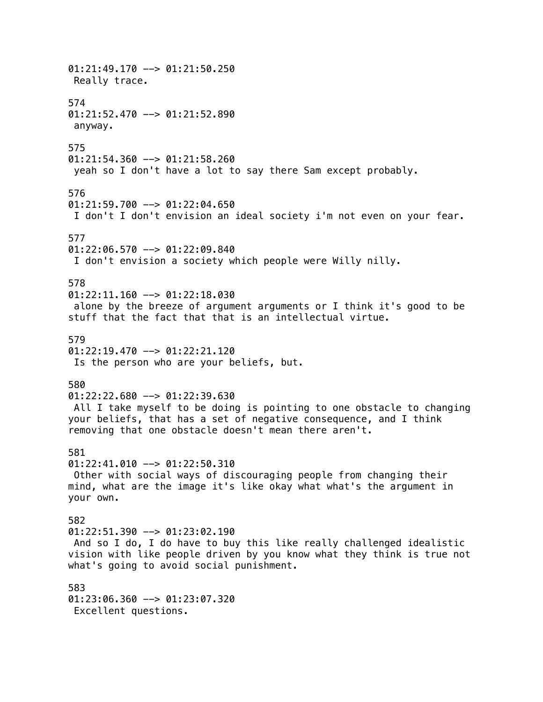01:21:49.170 --> 01:21:50.250 Really trace. 574 01:21:52.470 --> 01:21:52.890 anyway. 575  $01:21:54.360$  -->  $01:21:58.260$  yeah so I don't have a lot to say there Sam except probably. 576 01:21:59.700 --> 01:22:04.650 I don't I don't envision an ideal society i'm not even on your fear. 577 01:22:06.570 --> 01:22:09.840 I don't envision a society which people were Willy nilly. 578  $01:22:11.160$  -->  $01:22:18.030$  alone by the breeze of argument arguments or I think it's good to be stuff that the fact that that is an intellectual virtue. 579  $01:22:19.470$  -->  $01:22:21.120$  Is the person who are your beliefs, but. 580  $01:22:22.680$  -->  $01:22:39.630$  All I take myself to be doing is pointing to one obstacle to changing your beliefs, that has a set of negative consequence, and I think removing that one obstacle doesn't mean there aren't. 581 01:22:41.010 --> 01:22:50.310 Other with social ways of discouraging people from changing their mind, what are the image it's like okay what what's the argument in your own. 582  $01:22:51.390$  -->  $01:23:02.190$  And so I do, I do have to buy this like really challenged idealistic vision with like people driven by you know what they think is true not what's going to avoid social punishment. 583 01:23:06.360 --> 01:23:07.320 Excellent questions.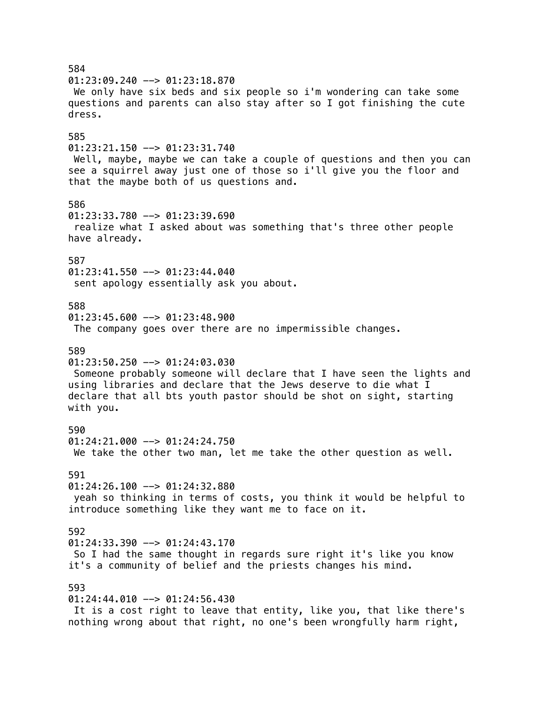584  $01:23:09.240$  -->  $01:23:18.870$  We only have six beds and six people so i'm wondering can take some questions and parents can also stay after so I got finishing the cute dress. 585 01:23:21.150 --> 01:23:31.740 Well, maybe, maybe we can take a couple of questions and then you can see a squirrel away just one of those so i'll give you the floor and that the maybe both of us questions and. 586  $01:23:33.780$  -->  $01:23:39.690$  realize what I asked about was something that's three other people have already. 587 01:23:41.550 --> 01:23:44.040 sent apology essentially ask you about. 588  $01:23:45.600$  -->  $01:23:48.900$  The company goes over there are no impermissible changes. 589  $01:23:50.250$  -->  $01:24:03.030$  Someone probably someone will declare that I have seen the lights and using libraries and declare that the Jews deserve to die what I declare that all bts youth pastor should be shot on sight, starting with you. 590 01:24:21.000 --> 01:24:24.750 We take the other two man, let me take the other question as well. 591 01:24:26.100 --> 01:24:32.880 yeah so thinking in terms of costs, you think it would be helpful to introduce something like they want me to face on it. 592  $01:24:33.390$  -->  $01:24:43.170$  So I had the same thought in regards sure right it's like you know it's a community of belief and the priests changes his mind. 593  $01:24:44.010$  -->  $01:24:56.430$  It is a cost right to leave that entity, like you, that like there's nothing wrong about that right, no one's been wrongfully harm right,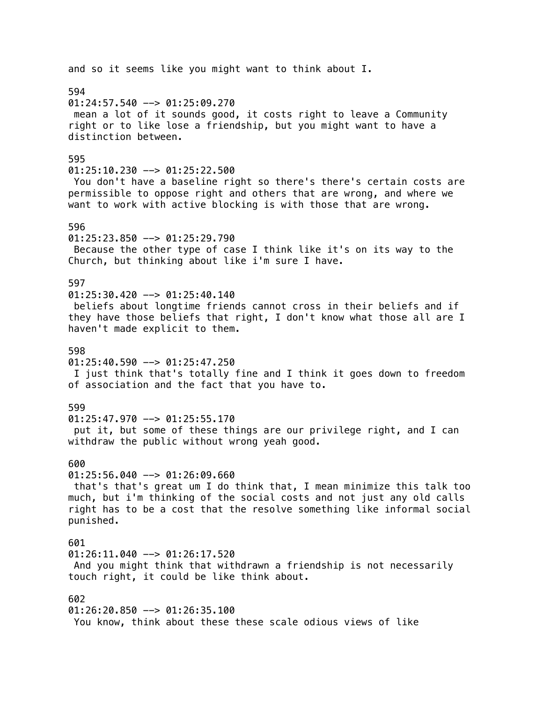and so it seems like you might want to think about I. 594 01:24:57.540 --> 01:25:09.270 mean a lot of it sounds good, it costs right to leave a Community right or to like lose a friendship, but you might want to have a distinction between. 595 01:25:10.230 --> 01:25:22.500 You don't have a baseline right so there's there's certain costs are permissible to oppose right and others that are wrong, and where we want to work with active blocking is with those that are wrong. 596 01:25:23.850 --> 01:25:29.790 Because the other type of case I think like it's on its way to the Church, but thinking about like i'm sure I have. 597  $01:25:30.420$  -->  $01:25:40.140$  beliefs about longtime friends cannot cross in their beliefs and if they have those beliefs that right, I don't know what those all are I haven't made explicit to them. 598  $01:25:40.590$  -->  $01:25:47.250$  I just think that's totally fine and I think it goes down to freedom of association and the fact that you have to. 599 01:25:47.970 --> 01:25:55.170 put it, but some of these things are our privilege right, and I can withdraw the public without wrong yeah good. 600  $01:25:56.040$  -->  $01:26:09.660$  that's that's great um I do think that, I mean minimize this talk too much, but i'm thinking of the social costs and not just any old calls right has to be a cost that the resolve something like informal social punished. 601 01:26:11.040 --> 01:26:17.520 And you might think that withdrawn a friendship is not necessarily touch right, it could be like think about. 602 01:26:20.850 --> 01:26:35.100 You know, think about these these scale odious views of like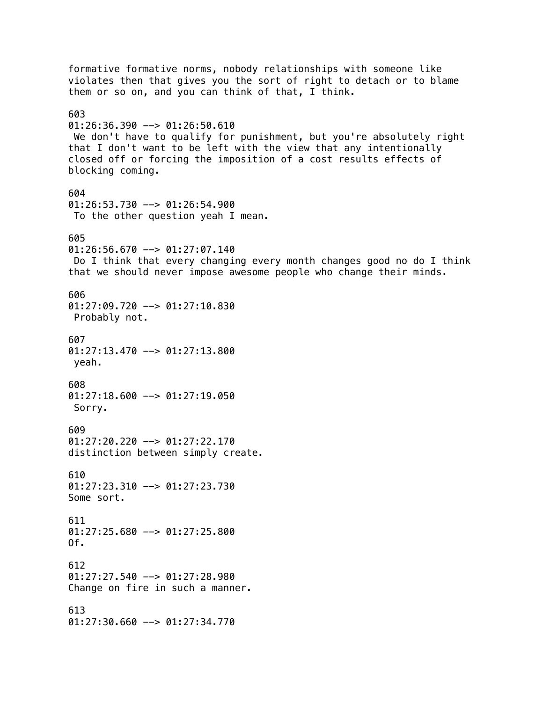formative formative norms, nobody relationships with someone like violates then that gives you the sort of right to detach or to blame them or so on, and you can think of that, I think. 603  $01:26:36.390$  -->  $01:26:50.610$ We don't have to qualify for punishment, but you're absolutely right that I don't want to be left with the view that any intentionally closed off or forcing the imposition of a cost results effects of blocking coming. 604 01:26:53.730 --> 01:26:54.900 To the other question yeah I mean. 605  $01:26:56.670$  -->  $01:27:07.140$  Do I think that every changing every month changes good no do I think that we should never impose awesome people who change their minds. 606  $01:27:09.720$  -->  $01:27:10.830$  Probably not. 607 01:27:13.470 --> 01:27:13.800 yeah. 608  $01:27:18.600$  -->  $01:27:19.050$  Sorry. 609 01:27:20.220 --> 01:27:22.170 distinction between simply create. 610 01:27:23.310 --> 01:27:23.730 Some sort. 611  $01:27:25.680$  -->  $01:27:25.800$  $0f.$ 612 01:27:27.540 --> 01:27:28.980 Change on fire in such a manner. 613 01:27:30.660 --> 01:27:34.770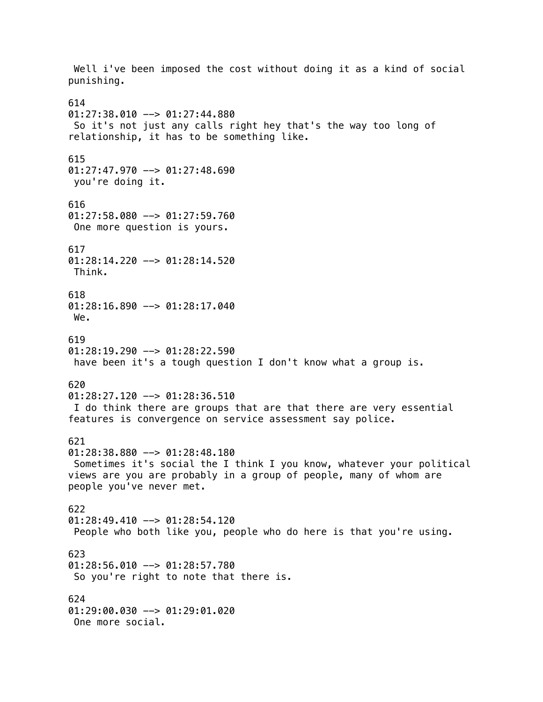Well i've been imposed the cost without doing it as a kind of social punishing. 614  $01:27:38.010$  -->  $01:27:44.880$  So it's not just any calls right hey that's the way too long of relationship, it has to be something like. 615  $01:27:47.970$  -->  $01:27:48.690$  you're doing it. 616 01:27:58.080 --> 01:27:59.760 One more question is yours. 617 01:28:14.220 --> 01:28:14.520 Think. 618 01:28:16.890 --> 01:28:17.040 We. 619 01:28:19.290 --> 01:28:22.590 have been it's a tough question I don't know what a group is. 620  $01:28:27.120$  -->  $01:28:36.510$  I do think there are groups that are that there are very essential features is convergence on service assessment say police. 621 01:28:38.880 --> 01:28:48.180 Sometimes it's social the I think I you know, whatever your political views are you are probably in a group of people, many of whom are people you've never met. 622 01:28:49.410 --> 01:28:54.120 People who both like you, people who do here is that you're using. 623  $01:28:56.010$  -->  $01:28:57.780$  So you're right to note that there is. 624 01:29:00.030 --> 01:29:01.020 One more social.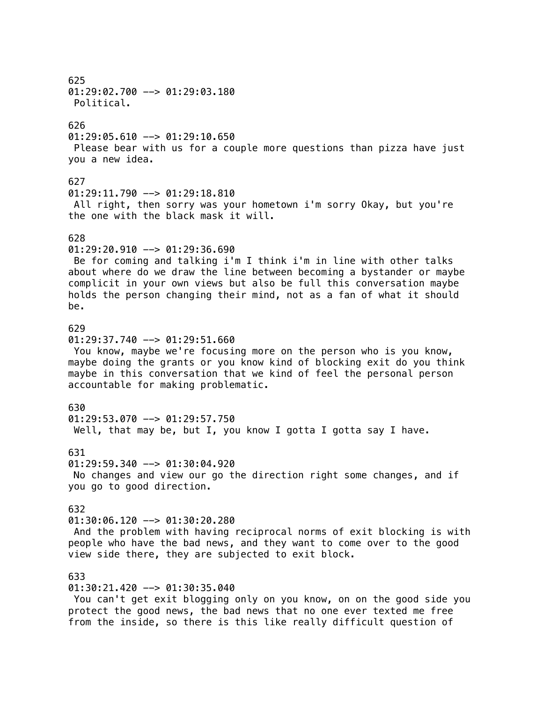## 625 01:29:02.700 --> 01:29:03.180 Political. 626  $01:29:05.610$  -->  $01:29:10.650$  Please bear with us for a couple more questions than pizza have just you a new idea. 627 01:29:11.790 --> 01:29:18.810 All right, then sorry was your hometown i'm sorry Okay, but you're the one with the black mask it will. 628 01:29:20.910 --> 01:29:36.690 Be for coming and talking i'm I think i'm in line with other talks about where do we draw the line between becoming a bystander or maybe complicit in your own views but also be full this conversation maybe holds the person changing their mind, not as a fan of what it should be. 629  $01:29:37.740$  -->  $01:29:51.660$  You know, maybe we're focusing more on the person who is you know, maybe doing the grants or you know kind of blocking exit do you think maybe in this conversation that we kind of feel the personal person accountable for making problematic. 630 01:29:53.070 --> 01:29:57.750 Well, that may be, but I, you know I gotta I gotta say I have. 631 01:29:59.340 --> 01:30:04.920 No changes and view our go the direction right some changes, and if you go to good direction. 632 01:30:06.120 --> 01:30:20.280 And the problem with having reciprocal norms of exit blocking is with people who have the bad news, and they want to come over to the good view side there, they are subjected to exit block. 633 01:30:21.420 --> 01:30:35.040 You can't get exit blogging only on you know, on on the good side you

protect the good news, the bad news that no one ever texted me free from the inside, so there is this like really difficult question of